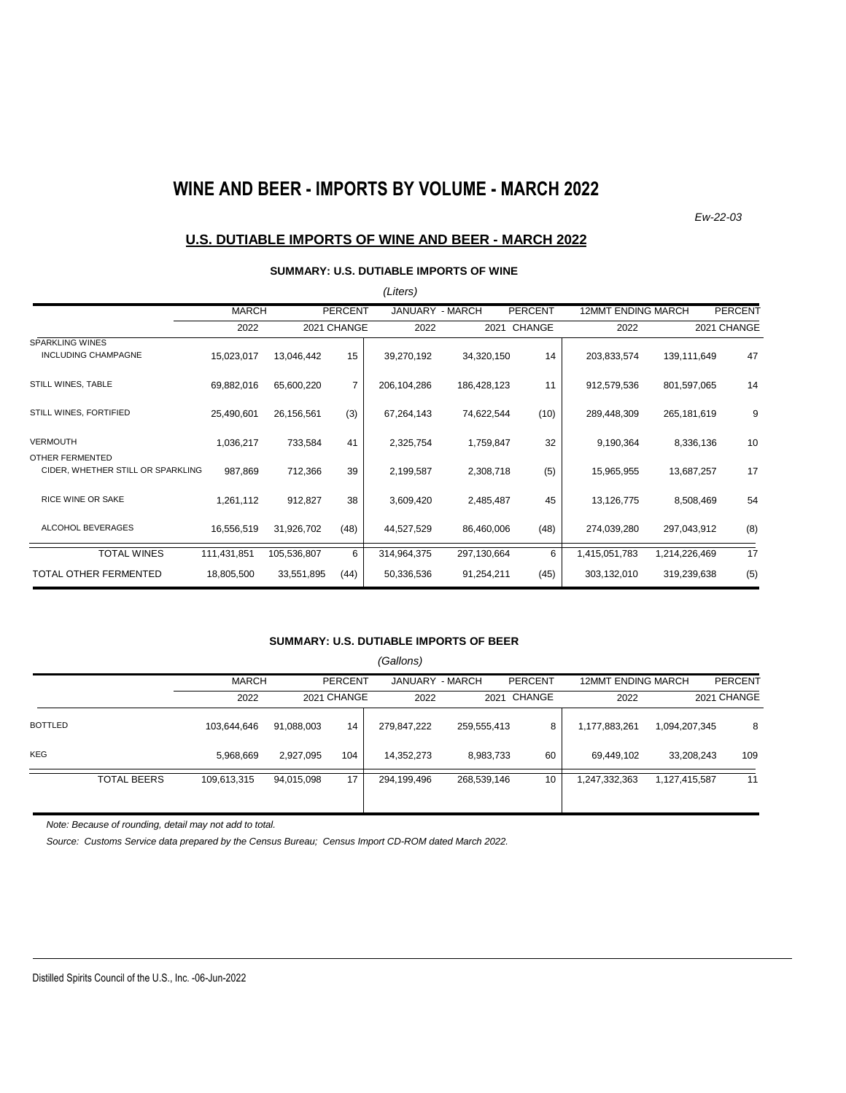# **WINE AND BEER - IMPORTS BY VOLUME - MARCH 2022**

*Ew-22-03*

### **U.S. DUTIABLE IMPORTS OF WINE AND BEER - MARCH 2022**

#### **SUMMARY: U.S. DUTIABLE IMPORTS OF WINE**

|                                                      |              |             |                | (Liters)        |             |                |                           |               |                |
|------------------------------------------------------|--------------|-------------|----------------|-----------------|-------------|----------------|---------------------------|---------------|----------------|
|                                                      | <b>MARCH</b> |             | <b>PERCENT</b> | JANUARY - MARCH |             | <b>PERCENT</b> | <b>12MMT ENDING MARCH</b> |               | <b>PERCENT</b> |
|                                                      | 2022         |             | 2021 CHANGE    | 2022            |             | 2021 CHANGE    | 2022                      |               | 2021 CHANGE    |
| <b>SPARKLING WINES</b><br><b>INCLUDING CHAMPAGNE</b> | 15,023,017   | 13,046,442  | 15             | 39,270,192      | 34,320,150  | 14             | 203,833,574               | 139,111,649   | 47             |
| STILL WINES, TABLE                                   | 69,882,016   | 65,600,220  | 7              | 206,104,286     | 186,428,123 | 11             | 912,579,536               | 801,597,065   | 14             |
| STILL WINES, FORTIFIED                               | 25,490,601   | 26,156,561  | (3)            | 67,264,143      | 74,622,544  | (10)           | 289,448,309               | 265,181,619   | 9              |
| <b>VERMOUTH</b>                                      | 1,036,217    | 733,584     | 41             | 2,325,754       | 1,759,847   | 32             | 9,190,364                 | 8,336,136     | 10             |
| OTHER FERMENTED<br>CIDER, WHETHER STILL OR SPARKLING | 987,869      | 712,366     | 39             | 2,199,587       | 2,308,718   | (5)            | 15,965,955                | 13,687,257    | 17             |
| <b>RICE WINE OR SAKE</b>                             | 1,261,112    | 912,827     | 38             | 3,609,420       | 2,485,487   | 45             | 13,126,775                | 8,508,469     | 54             |
| ALCOHOL BEVERAGES                                    | 16,556,519   | 31,926,702  | (48)           | 44,527,529      | 86,460,006  | (48)           | 274,039,280               | 297,043,912   | (8)            |
| <b>TOTAL WINES</b>                                   | 111,431,851  | 105,536,807 | 6              | 314,964,375     | 297,130,664 | 6              | 1,415,051,783             | 1,214,226,469 | 17             |
| TOTAL OTHER FERMENTED                                | 18,805,500   | 33,551,895  | (44)           | 50,336,536      | 91,254,211  | (45)           | 303,132,010               | 319,239,638   | (5)            |

#### **SUMMARY: U.S. DUTIABLE IMPORTS OF BEER**

|                |                    |              |            |                | (Gallons)       |             |             |                    |               |                |
|----------------|--------------------|--------------|------------|----------------|-----------------|-------------|-------------|--------------------|---------------|----------------|
|                |                    | <b>MARCH</b> |            | <b>PERCENT</b> | JANUARY - MARCH |             | PERCENT     | 12MMT ENDING MARCH |               | <b>PERCENT</b> |
|                |                    | 2022         |            | 2021 CHANGE    | 2022            |             | 2021 CHANGE | 2022               |               | 2021 CHANGE    |
| <b>BOTTLED</b> |                    | 103,644,646  | 91,088,003 | 14             | 279,847,222     | 259,555,413 | 8           | 1,177,883,261      | 1,094,207,345 | 8              |
| <b>KEG</b>     |                    | 5,968,669    | 2,927,095  | 104            | 14,352,273      | 8,983,733   | 60          | 69,449,102         | 33,208,243    | 109            |
|                | <b>TOTAL BEERS</b> | 109,613,315  | 94,015,098 | 17             | 294,199,496     | 268,539,146 | 10          | 1,247,332,363      | 1,127,415,587 | 11             |

*Note: Because of rounding, detail may not add to total.*

*Source: Customs Service data prepared by the Census Bureau; Census Import CD-ROM dated March 2022.*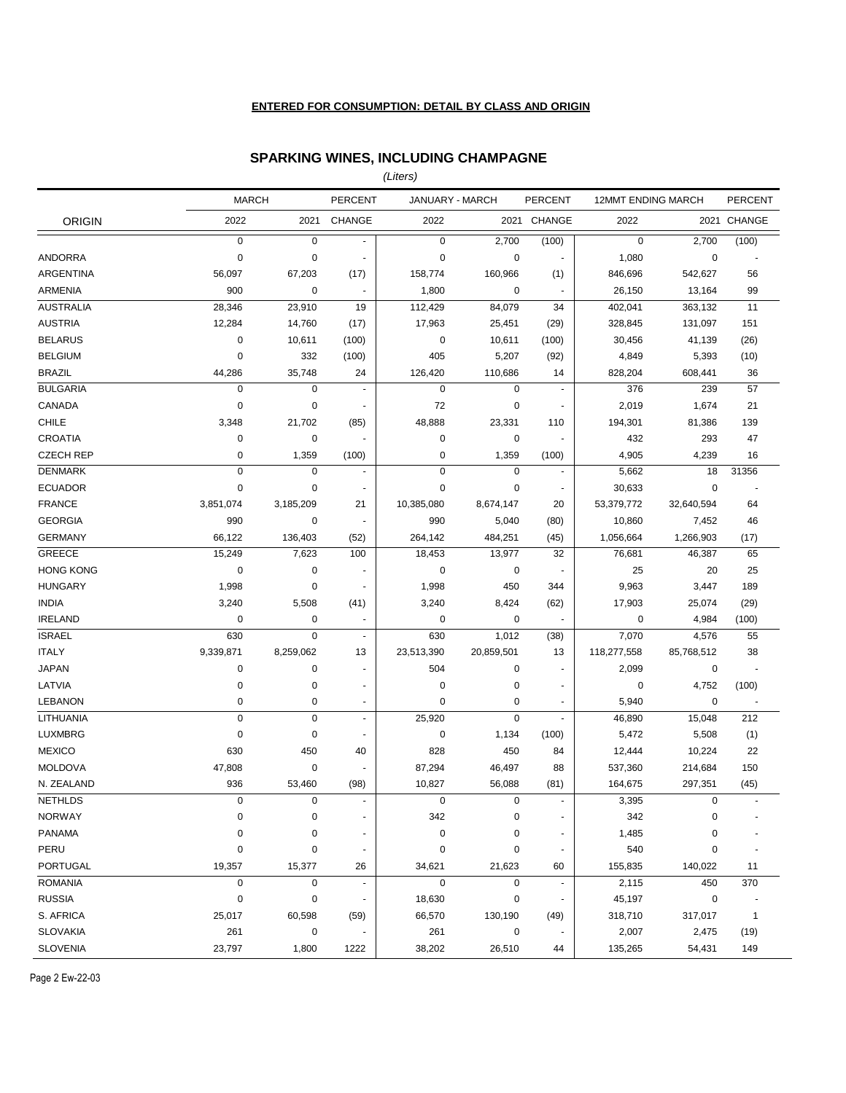#### **ENTERED FOR CONSUMPTION: DETAIL BY CLASS AND ORIGIN**

### **SPARKING WINES, INCLUDING CHAMPAGNE**

*(Liters)*

|                  | <b>MARCH</b> |             | <b>PERCENT</b>           | JANUARY - MARCH |             | <b>PERCENT</b>           | <b>12MMT ENDING MARCH</b> |             | <b>PERCENT</b>           |
|------------------|--------------|-------------|--------------------------|-----------------|-------------|--------------------------|---------------------------|-------------|--------------------------|
| <b>ORIGIN</b>    | 2022         | 2021        | CHANGE                   | 2022            |             | 2021 CHANGE              | 2022                      |             | 2021 CHANGE              |
|                  | $\pmb{0}$    | $\mathbf 0$ | $\blacksquare$           | $\mathbf 0$     | 2,700       | (100)                    | $\mathbf 0$               | 2,700       | (100)                    |
| <b>ANDORRA</b>   | $\mathbf 0$  | $\mathbf 0$ | $\overline{\phantom{a}}$ | $\pmb{0}$       | $\mathbf 0$ | $\blacksquare$           | 1,080                     | $\mathbf 0$ | $\overline{\phantom{a}}$ |
| <b>ARGENTINA</b> | 56,097       | 67,203      | (17)                     | 158,774         | 160,966     | (1)                      | 846,696                   | 542,627     | 56                       |
| <b>ARMENIA</b>   | 900          | 0           | $\blacksquare$           | 1,800           | 0           |                          | 26,150                    | 13,164      | 99                       |
| <b>AUSTRALIA</b> | 28,346       | 23,910      | 19                       | 112,429         | 84,079      | 34                       | 402,041                   | 363,132     | 11                       |
| <b>AUSTRIA</b>   | 12,284       | 14,760      | (17)                     | 17,963          | 25,451      | (29)                     | 328,845                   | 131,097     | 151                      |
| <b>BELARUS</b>   | 0            | 10,611      | (100)                    | 0               | 10,611      | (100)                    | 30,456                    | 41,139      | (26)                     |
| <b>BELGIUM</b>   | 0            | 332         | (100)                    | 405             | 5,207       | (92)                     | 4,849                     | 5,393       | (10)                     |
| <b>BRAZIL</b>    | 44,286       | 35,748      | 24                       | 126,420         | 110,686     | 14                       | 828,204                   | 608,441     | 36                       |
| <b>BULGARIA</b>  | $\mathbf 0$  | $\mathbf 0$ | $\blacksquare$           | $\mathbf 0$     | $\mathbf 0$ | $\blacksquare$           | 376                       | 239         | 57                       |
| CANADA           | $\pmb{0}$    | $\mathbf 0$ | $\blacksquare$           | 72              | $\mathbf 0$ | ä,                       | 2,019                     | 1,674       | 21                       |
| <b>CHILE</b>     | 3,348        | 21,702      | (85)                     | 48,888          | 23,331      | 110                      | 194,301                   | 81,386      | 139                      |
| <b>CROATIA</b>   | 0            | 0           | $\blacksquare$           | 0               | 0           | $\overline{\phantom{a}}$ | 432                       | 293         | 47                       |
| <b>CZECH REP</b> | $\pmb{0}$    | 1,359       | (100)                    | 0               | 1,359       | (100)                    | 4,905                     | 4,239       | 16                       |
| <b>DENMARK</b>   | $\pmb{0}$    | $\mathbf 0$ | $\blacksquare$           | 0               | $\mathbf 0$ | $\blacksquare$           | 5,662                     | 18          | 31356                    |
| <b>ECUADOR</b>   | $\pmb{0}$    | $\mathbf 0$ | $\overline{a}$           | $\mathbf 0$     | $\mathbf 0$ | $\overline{\phantom{a}}$ | 30,633                    | $\mathbf 0$ | ÷,                       |
| <b>FRANCE</b>    | 3,851,074    | 3,185,209   | 21                       | 10,385,080      | 8,674,147   | 20                       | 53,379,772                | 32,640,594  | 64                       |
| <b>GEORGIA</b>   | 990          | 0           | $\overline{\phantom{a}}$ | 990             | 5,040       | (80)                     | 10,860                    | 7,452       | 46                       |
| <b>GERMANY</b>   | 66,122       | 136,403     | (52)                     | 264,142         | 484,251     | (45)                     | 1,056,664                 | 1,266,903   | (17)                     |
| <b>GREECE</b>    | 15,249       | 7,623       | 100                      | 18,453          | 13,977      | 32                       | 76,681                    | 46,387      | 65                       |
| <b>HONG KONG</b> | 0            | $\mathbf 0$ | $\overline{\phantom{a}}$ | 0               | 0           | $\blacksquare$           | 25                        | 20          | 25                       |
| <b>HUNGARY</b>   | 1,998        | $\mathbf 0$ | $\overline{\phantom{a}}$ | 1,998           | 450         | 344                      | 9,963                     | 3,447       | 189                      |
| <b>INDIA</b>     | 3,240        | 5,508       | (41)                     | 3,240           | 8,424       | (62)                     | 17,903                    | 25,074      | (29)                     |
| <b>IRELAND</b>   | $\mathbf 0$  | $\mathbf 0$ | $\blacksquare$           | $\mathbf 0$     | 0           |                          | 0                         | 4,984       | (100)                    |
| <b>ISRAEL</b>    | 630          | $\mathbf 0$ | $\blacksquare$           | 630             | 1,012       | (38)                     | 7,070                     | 4,576       | 55                       |
| <b>ITALY</b>     | 9,339,871    | 8,259,062   | 13                       | 23,513,390      | 20,859,501  | 13                       | 118,277,558               | 85,768,512  | 38                       |
| <b>JAPAN</b>     | 0            | $\mathbf 0$ | $\blacksquare$           | 504             | 0           | $\blacksquare$           | 2,099                     | 0           | ÷,                       |
| LATVIA           | 0            | 0           | $\overline{\phantom{a}}$ | $\mathbf 0$     | $\mathbf 0$ | $\overline{\phantom{a}}$ | 0                         | 4,752       | (100)                    |
| <b>LEBANON</b>   | $\pmb{0}$    | 0           | $\blacksquare$           | $\pmb{0}$       | $\mathbf 0$ | $\overline{\phantom{a}}$ | 5,940                     | $\mathbf 0$ |                          |
| LITHUANIA        | $\pmb{0}$    | $\mathbf 0$ | $\blacksquare$           | 25,920          | $\mathbf 0$ | $\overline{\phantom{a}}$ | 46,890                    | 15,048      | 212                      |
| <b>LUXMBRG</b>   | $\pmb{0}$    | $\mathbf 0$ | ä,                       | $\pmb{0}$       | 1,134       | (100)                    | 5,472                     | 5,508       | (1)                      |
| <b>MEXICO</b>    | 630          | 450         | 40                       | 828             | 450         | 84                       | 12,444                    | 10,224      | 22                       |
| <b>MOLDOVA</b>   | 47,808       | $\mathbf 0$ | $\blacksquare$           | 87,294          | 46,497      | 88                       | 537,360                   | 214,684     | 150                      |
| N. ZEALAND       | 936          | 53,460      | (98)                     | 10,827          | 56,088      | (81)                     | 164,675                   | 297,351     | (45)                     |
| <b>NETHLDS</b>   | $\mathbf 0$  | $\mathbf 0$ | $\overline{\phantom{a}}$ | $\mathbf 0$     | $\mathbf 0$ | $\blacksquare$           | 3,395                     | $\mathbf 0$ | $\sim$                   |
| <b>NORWAY</b>    | $\pmb{0}$    | $\pmb{0}$   | $\overline{a}$           | 342             | $\pmb{0}$   |                          | 342                       | 0           |                          |
| <b>PANAMA</b>    | $\pmb{0}$    | 0           | $\overline{a}$           | $\pmb{0}$       | 0           |                          | 1,485                     | 0           |                          |
| PERU             | $\pmb{0}$    | 0           | $\overline{\phantom{a}}$ | $\pmb{0}$       | 0           | $\ddot{\phantom{1}}$     | 540                       | 0           |                          |
| <b>PORTUGAL</b>  | 19,357       | 15,377      | 26                       | 34,621          | 21,623      | 60                       | 155,835                   | 140,022     | 11                       |
| <b>ROMANIA</b>   | $\pmb{0}$    | $\pmb{0}$   | $\overline{\phantom{a}}$ | $\pmb{0}$       | $\mathbf 0$ | $\overline{\phantom{a}}$ | 2,115                     | 450         | 370                      |
| <b>RUSSIA</b>    | $\pmb{0}$    | $\pmb{0}$   | $\overline{a}$           | 18,630          | $\pmb{0}$   |                          | 45,197                    | $\pmb{0}$   |                          |
| S. AFRICA        | 25,017       | 60,598      | (59)                     | 66,570          | 130,190     | (49)                     | 318,710                   | 317,017     | $\mathbf{1}$             |
| <b>SLOVAKIA</b>  | 261          | $\pmb{0}$   |                          | 261             | $\pmb{0}$   |                          | 2,007                     | 2,475       | (19)                     |
| <b>SLOVENIA</b>  | 23,797       | 1,800       | 1222                     | 38,202          | 26,510      | 44                       | 135,265                   | 54,431      | 149                      |

Page 2 Ew-22-03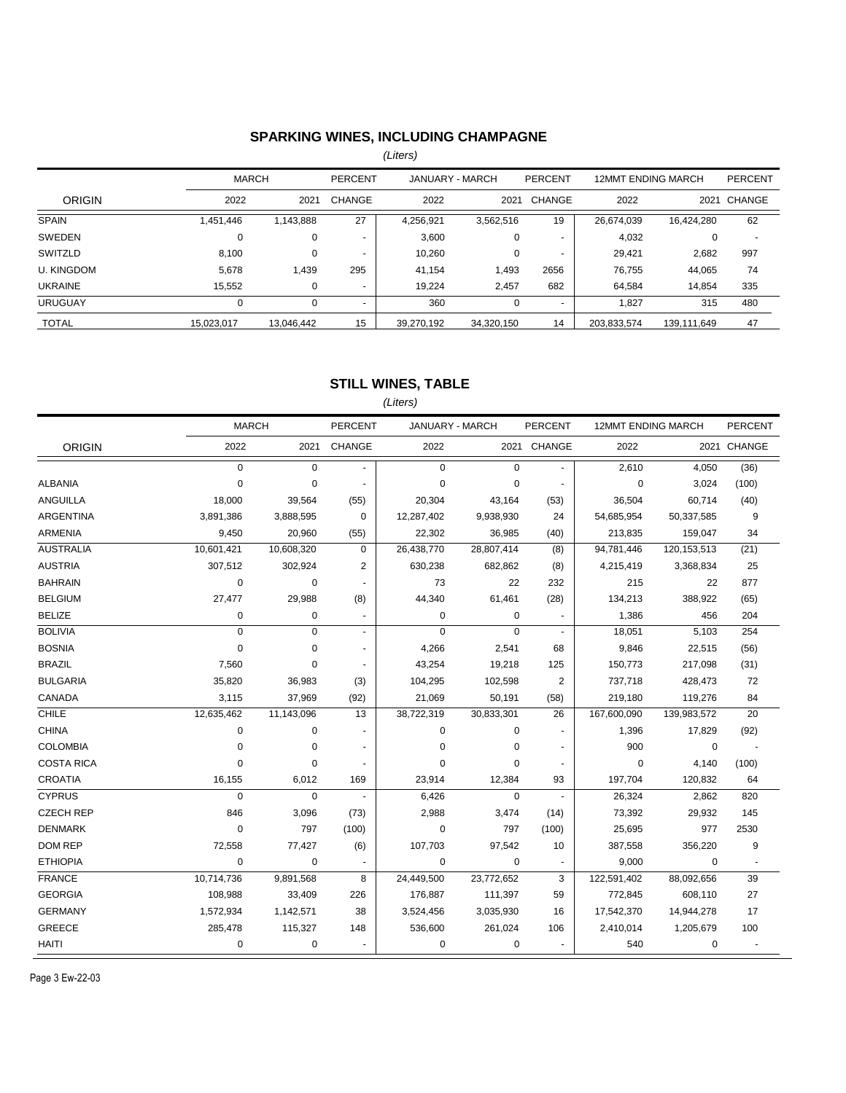# **SPARKING WINES, INCLUDING CHAMPAGNE**

*(Liters)*

|                   | <b>MARCH</b> |            | PERCENT                  | JANUARY - MARCH |            | PERCENT                  | <b>12MMT ENDING MARCH</b> |             | <b>PERCENT</b> |
|-------------------|--------------|------------|--------------------------|-----------------|------------|--------------------------|---------------------------|-------------|----------------|
| <b>ORIGIN</b>     | 2022         | 2021       | CHANGE                   | 2022            | 2021       | CHANGE                   | 2022                      | 2021        | CHANGE         |
| <b>SPAIN</b>      | 1,451,446    | 1,143,888  | 27                       | 4.256.921       | 3,562,516  | 19                       | 26,674,039                | 16,424,280  | 62             |
| SWEDEN            | 0            | 0          |                          | 3,600           | 0          |                          | 4,032                     | 0           |                |
| SWITZLD           | 8,100        |            | $\overline{a}$           | 10.260          | 0          | $\overline{a}$           | 29.421                    | 2,682       | 997            |
| <b>U. KINGDOM</b> | 5,678        | 1,439      | 295                      | 41.154          | 1.493      | 2656                     | 76.755                    | 44,065      | 74             |
| <b>UKRAINE</b>    | 15,552       |            | $\overline{\phantom{0}}$ | 19.224          | 2,457      | 682                      | 64.584                    | 14,854      | 335            |
| <b>URUGUAY</b>    | 0            |            | $\overline{\phantom{a}}$ | 360             | 0          | $\overline{\phantom{0}}$ | 1.827                     | 315         | 480            |
| <b>TOTAL</b>      | 15.023.017   | 13.046.442 | 15                       | 39,270,192      | 34.320.150 | 14                       | 203,833,574               | 139.111.649 | 47             |

### **STILL WINES, TABLE**

*(Liters)*

|                   | <b>MARCH</b> |             | PERCENT        |             | JANUARY - MARCH |                          | PERCENT<br>12MMT ENDING MARCH |             | PERCENT     |
|-------------------|--------------|-------------|----------------|-------------|-----------------|--------------------------|-------------------------------|-------------|-------------|
| <b>ORIGIN</b>     | 2022         | 2021        | CHANGE         | 2022        |                 | 2021 CHANGE              | 2022                          |             | 2021 CHANGE |
|                   | $\mathbf 0$  | $\Omega$    | $\overline{a}$ | $\mathbf 0$ | $\mathbf 0$     | $\overline{\phantom{a}}$ | 2,610                         | 4,050       | (36)        |
| <b>ALBANIA</b>    | $\mathbf 0$  | 0           | $\mathbf{r}$   | $\mathbf 0$ | $\mathbf 0$     | ÷,                       | $\mathbf 0$                   | 3,024       | (100)       |
| ANGUILLA          | 18,000       | 39,564      | (55)           | 20,304      | 43,164          | (53)                     | 36,504                        | 60,714      | (40)        |
| <b>ARGENTINA</b>  | 3,891,386    | 3,888,595   | $\Omega$       | 12,287,402  | 9,938,930       | 24                       | 54,685,954                    | 50,337,585  | 9           |
| ARMENIA           | 9,450        | 20,960      | (55)           | 22,302      | 36,985          | (40)                     | 213,835                       | 159,047     | 34          |
| <b>AUSTRALIA</b>  | 10,601,421   | 10,608,320  | $\mathbf 0$    | 26,438,770  | 28,807,414      | (8)                      | 94,781,446                    | 120,153,513 | (21)        |
| <b>AUSTRIA</b>    | 307,512      | 302,924     | 2              | 630,238     | 682,862         | (8)                      | 4,215,419                     | 3,368,834   | 25          |
| <b>BAHRAIN</b>    | 0            | $\mathbf 0$ |                | 73          | 22              | 232                      | 215                           | 22          | 877         |
| <b>BELGIUM</b>    | 27,477       | 29,988      | (8)            | 44,340      | 61,461          | (28)                     | 134,213                       | 388,922     | (65)        |
| <b>BELIZE</b>     | 0            | 0           |                | 0           | 0               |                          | 1,386                         | 456         | 204         |
| <b>BOLIVIA</b>    | $\pmb{0}$    | $\mathbf 0$ | $\mathbf{r}$   | $\mathbf 0$ | $\mathbf 0$     | $\sim$                   | 18,051                        | 5,103       | 254         |
| <b>BOSNIA</b>     | $\mathbf 0$  | 0           |                | 4,266       | 2,541           | 68                       | 9,846                         | 22,515      | (56)        |
| <b>BRAZIL</b>     | 7,560        | $\mathbf 0$ | $\blacksquare$ | 43,254      | 19,218          | 125                      | 150,773                       | 217,098     | (31)        |
| <b>BULGARIA</b>   | 35,820       | 36,983      | (3)            | 104,295     | 102,598         | $\overline{2}$           | 737,718                       | 428,473     | 72          |
| CANADA            | 3,115        | 37,969      | (92)           | 21,069      | 50,191          | (58)                     | 219,180                       | 119,276     | 84          |
| <b>CHILE</b>      | 12,635,462   | 11,143,096  | 13             | 38,722,319  | 30,833,301      | 26                       | 167,600,090                   | 139,983,572 | 20          |
| <b>CHINA</b>      | 0            | $\mathbf 0$ | $\blacksquare$ | $\mathbf 0$ | $\mathbf 0$     | $\blacksquare$           | 1,396                         | 17,829      | (92)        |
| <b>COLOMBIA</b>   | 0            | $\mathbf 0$ | $\blacksquare$ | 0           | 0               | $\sim$                   | 900                           | $\mathbf 0$ |             |
| <b>COSTA RICA</b> | $\mathbf 0$  | $\Omega$    |                | $\Omega$    | $\mathbf 0$     | $\blacksquare$           | $\mathbf 0$                   | 4,140       | (100)       |
| <b>CROATIA</b>    | 16,155       | 6,012       | 169            | 23,914      | 12,384          | 93                       | 197,704                       | 120,832     | 64          |
| <b>CYPRUS</b>     | $\mathbf 0$  | $\mathbf 0$ |                | 6,426       | $\mathbf 0$     |                          | 26,324                        | 2,862       | 820         |
| <b>CZECH REP</b>  | 846          | 3,096       | (73)           | 2,988       | 3,474           | (14)                     | 73,392                        | 29,932      | 145         |
| <b>DENMARK</b>    | 0            | 797         | (100)          | 0           | 797             | (100)                    | 25,695                        | 977         | 2530        |
| DOM REP           | 72,558       | 77,427      | (6)            | 107,703     | 97,542          | 10                       | 387,558                       | 356,220     | 9           |
| <b>ETHIOPIA</b>   | $\mathbf 0$  | $\mathbf 0$ | $\blacksquare$ | 0           | 0               | $\blacksquare$           | 9,000                         | $\mathbf 0$ | $\sim$      |
| <b>FRANCE</b>     | 10,714,736   | 9,891,568   | 8              | 24,449,500  | 23,772,652      | 3                        | 122,591,402                   | 88,092,656  | 39          |
| <b>GEORGIA</b>    | 108,988      | 33,409      | 226            | 176,887     | 111,397         | 59                       | 772,845                       | 608,110     | 27          |
| <b>GERMANY</b>    | 1,572,934    | 1,142,571   | 38             | 3,524,456   | 3,035,930       | 16                       | 17,542,370                    | 14,944,278  | 17          |
| GREECE            | 285,478      | 115,327     | 148            | 536,600     | 261,024         | 106                      | 2,410,014                     | 1,205,679   | 100         |
| <b>HAITI</b>      | 0            | $\mathbf 0$ |                | 0           | 0               |                          | 540                           | $\mathbf 0$ |             |

Page 3 Ew-22-03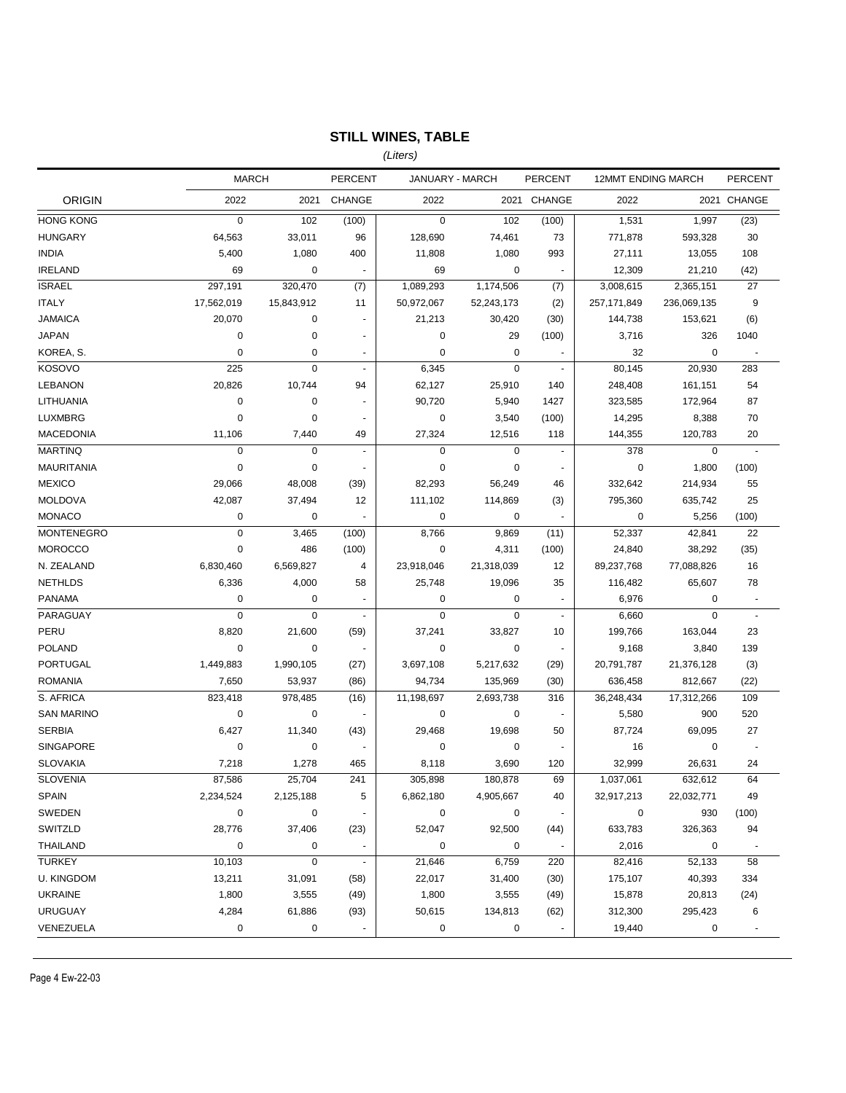# **STILL WINES, TABLE**

*(Liters)*

|                   | <b>MARCH</b> |             | <b>PERCENT</b>           | JANUARY - MARCH |            | <b>PERCENT</b>           | <b>12MMT ENDING MARCH</b> |             | <b>PERCENT</b>           |
|-------------------|--------------|-------------|--------------------------|-----------------|------------|--------------------------|---------------------------|-------------|--------------------------|
| <b>ORIGIN</b>     | 2022         | 2021        | <b>CHANGE</b>            | 2022            |            | 2021 CHANGE              | 2022                      |             | 2021 CHANGE              |
| <b>HONG KONG</b>  | $\mathbf 0$  | 102         | (100)                    | $\mathbf 0$     | 102        | (100)                    | 1,531                     | 1,997       | (23)                     |
| <b>HUNGARY</b>    | 64,563       | 33,011      | 96                       | 128,690         | 74,461     | 73                       | 771,878                   | 593,328     | 30                       |
| <b>INDIA</b>      | 5,400        | 1,080       | 400                      | 11,808          | 1,080      | 993                      | 27,111                    | 13,055      | 108                      |
| <b>IRELAND</b>    | 69           | 0           |                          | 69              | 0          | $\overline{\phantom{a}}$ | 12,309                    | 21,210      | (42)                     |
| <b>ISRAEL</b>     | 297,191      | 320,470     | (7)                      | 1,089,293       | 1,174,506  | (7)                      | 3,008,615                 | 2,365,151   | 27                       |
| <b>ITALY</b>      | 17,562,019   | 15,843,912  | 11                       | 50,972,067      | 52,243,173 | (2)                      | 257, 171, 849             | 236,069,135 | 9                        |
| <b>JAMAICA</b>    | 20,070       | 0           |                          | 21,213          | 30,420     | (30)                     | 144,738                   | 153,621     | (6)                      |
| <b>JAPAN</b>      | 0            | 0           | ä,                       | 0               | 29         | (100)                    | 3,716                     | 326         | 1040                     |
| KOREA, S.         | 0            | 0           | $\overline{\phantom{a}}$ | 0               | 0          |                          | 32                        | 0           |                          |
| <b>KOSOVO</b>     | 225          | $\mathbf 0$ | $\blacksquare$           | 6,345           | $\pmb{0}$  | $\blacksquare$           | 80,145                    | 20,930      | 283                      |
| <b>LEBANON</b>    | 20,826       | 10,744      | 94                       | 62,127          | 25,910     | 140                      | 248,408                   | 161,151     | 54                       |
| LITHUANIA         | 0            | 0           |                          | 90,720          | 5,940      | 1427                     | 323,585                   | 172,964     | 87                       |
| <b>LUXMBRG</b>    | $\mathbf 0$  | $\mathbf 0$ |                          | 0               | 3,540      | (100)                    | 14,295                    | 8,388       | 70                       |
| MACEDONIA         | 11,106       | 7,440       | 49                       | 27,324          | 12,516     | 118                      | 144,355                   | 120,783     | 20                       |
| <b>MARTINQ</b>    | $\mathbf 0$  | $\pmb{0}$   | $\blacksquare$           | $\mathbf 0$     | 0          | ٠                        | 378                       | $\mathbf 0$ | ä,                       |
| <b>MAURITANIA</b> | $\mathbf 0$  | $\mathbf 0$ |                          | $\mathbf 0$     | 0          |                          | $\pmb{0}$                 | 1,800       | (100)                    |
| <b>MEXICO</b>     | 29,066       | 48,008      | (39)                     | 82,293          | 56,249     | 46                       | 332,642                   | 214,934     | 55                       |
| <b>MOLDOVA</b>    | 42,087       | 37,494      | 12                       | 111,102         | 114,869    | (3)                      | 795,360                   | 635,742     | 25                       |
| <b>MONACO</b>     | 0            | $\mathbf 0$ |                          | $\mathbf 0$     | 0          |                          | $\pmb{0}$                 | 5,256       | (100)                    |
| <b>MONTENEGRO</b> | $\mathbf 0$  | 3,465       | (100)                    | 8,766           | 9,869      | (11)                     | 52,337                    | 42,841      | 22                       |
| <b>MOROCCO</b>    | $\mathbf 0$  | 486         | (100)                    | 0               | 4,311      | (100)                    | 24,840                    | 38,292      | (35)                     |
| N. ZEALAND        | 6,830,460    | 6,569,827   | 4                        | 23,918,046      | 21,318,039 | 12                       | 89,237,768                | 77,088,826  | 16                       |
| <b>NETHLDS</b>    | 6,336        | 4,000       | 58                       | 25,748          | 19,096     | 35                       | 116,482                   | 65,607      | 78                       |
| <b>PANAMA</b>     | 0            | 0           | $\overline{a}$           | 0               | 0          | $\overline{\phantom{a}}$ | 6,976                     | 0           | $\overline{\phantom{a}}$ |
| PARAGUAY          | $\mathbf 0$  | $\pmb{0}$   | $\blacksquare$           | $\mathbf 0$     | $\pmb{0}$  | ÷.                       | 6,660                     | $\mathbf 0$ | $\blacksquare$           |
| PERU              | 8,820        | 21,600      | (59)                     | 37,241          | 33,827     | 10                       | 199,766                   | 163,044     | 23                       |
| <b>POLAND</b>     | 0            | 0           |                          | 0               | 0          | $\overline{\phantom{a}}$ | 9,168                     | 3,840       | 139                      |
| <b>PORTUGAL</b>   | 1,449,883    | 1,990,105   | (27)                     | 3,697,108       | 5,217,632  | (29)                     | 20,791,787                | 21,376,128  | (3)                      |
| <b>ROMANIA</b>    | 7,650        | 53,937      | (86)                     | 94,734          | 135,969    | (30)                     | 636,458                   | 812,667     | (22)                     |
| S. AFRICA         | 823,418      | 978,485     | (16)                     | 11,198,697      | 2,693,738  | 316                      | 36,248,434                | 17,312,266  | 109                      |
| <b>SAN MARINO</b> | 0            | 0           |                          | 0               | 0          |                          | 5,580                     | 900         | 520                      |
| <b>SERBIA</b>     | 6,427        | 11,340      | (43)                     | 29,468          | 19,698     | 50                       | 87,724                    | 69,095      | 27                       |
| <b>SINGAPORE</b>  | $\pmb{0}$    | 0           |                          | 0               | 0          |                          | 16                        | 0           | $\overline{\phantom{a}}$ |
| <b>SLOVAKIA</b>   | 7,218        | 1,278       | 465                      | 8,118           | 3,690      | 120                      | 32,999                    | 26,631      | 24                       |
| <b>SLOVENIA</b>   | 87,586       | 25,704      | 241                      | 305,898         | 180,878    | 69                       | 1,037,061                 | 632,612     | 64                       |
| <b>SPAIN</b>      | 2,234,524    | 2,125,188   | 5                        | 6,862,180       | 4,905,667  | 40                       | 32,917,213                | 22,032,771  | 49                       |
| SWEDEN            | 0            | 0           |                          | 0               | 0          | $\overline{\phantom{a}}$ | 0                         | 930         | (100)                    |
| SWITZLD           | 28,776       | 37,406      | (23)                     | 52,047          | 92,500     | (44)                     | 633,783                   | 326,363     | 94                       |
| <b>THAILAND</b>   | 0            | 0           | $\overline{\phantom{a}}$ | 0               | 0          | $\blacksquare$           | 2,016                     | 0           | ÷,                       |
| <b>TURKEY</b>     | 10,103       | $\mathbf 0$ | $\blacksquare$           | 21,646          | 6,759      | 220                      | 82,416                    | 52,133      | 58                       |
| <b>U. KINGDOM</b> | 13,211       | 31,091      | (58)                     | 22,017          | 31,400     | (30)                     | 175,107                   | 40,393      | 334                      |
| <b>UKRAINE</b>    | 1,800        | 3,555       | (49)                     | 1,800           | 3,555      | (49)                     | 15,878                    | 20,813      | (24)                     |
| <b>URUGUAY</b>    | 4,284        | 61,886      | (93)                     | 50,615          | 134,813    | (62)                     | 312,300                   | 295,423     | 6                        |
| VENEZUELA         | 0            | 0           |                          | 0               | 0          |                          | 19,440                    | 0           |                          |
|                   |              |             |                          |                 |            |                          |                           |             |                          |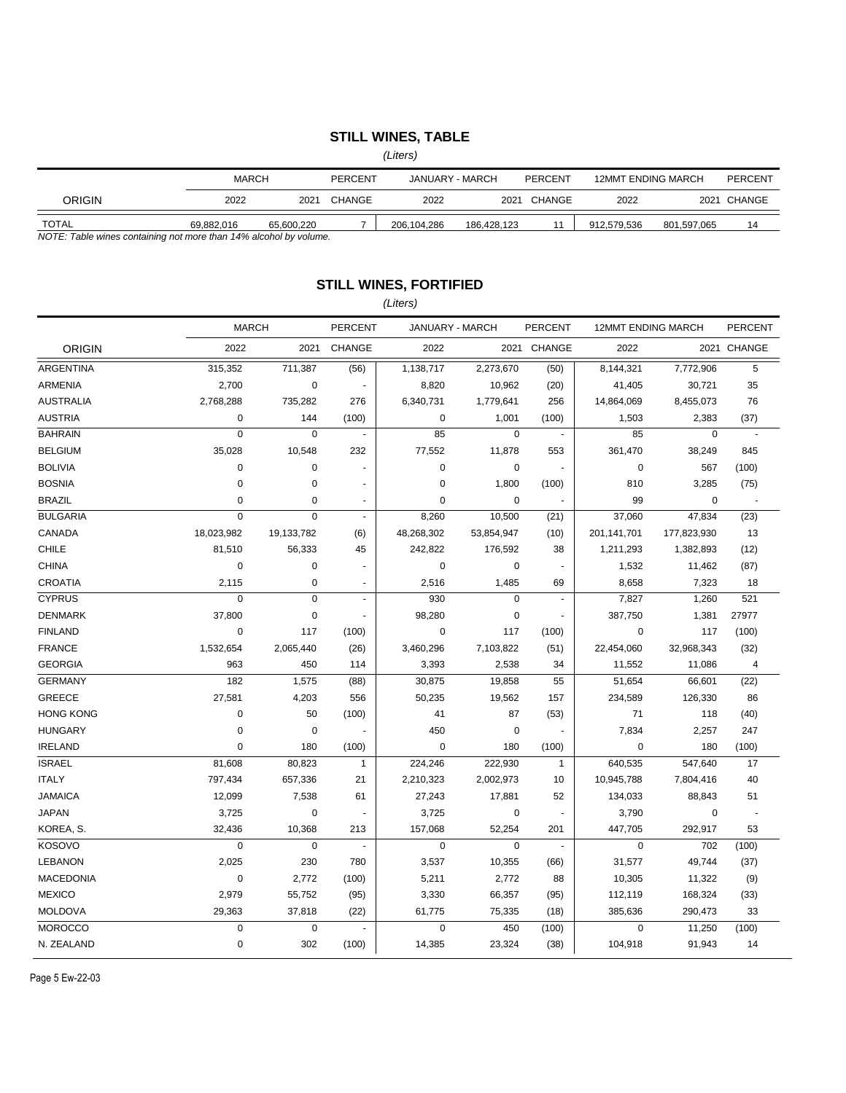### **STILL WINES, TABLE**

*(Liters)*

|                                                                   |            | <b>MARCH</b><br>PERCENT |        | JANUARY - MARCH |             | PERCENT | <b>12MMT ENDING MARCH</b> |             | PERCENT     |
|-------------------------------------------------------------------|------------|-------------------------|--------|-----------------|-------------|---------|---------------------------|-------------|-------------|
| ORIGIN                                                            | 2022       | 2021                    | CHANGE | 2022            | 2021        | CHANGE  | 2022                      |             | 2021 CHANGE |
| <b>TOTAL</b>                                                      | 69.882.016 | 65.600.220              |        | 206.104.286     | 186.428.123 |         | 912.579.536               | 801.597.065 | 14          |
| NOTE: Table wines containing not more than 14% alcohol by volume. |            |                         |        |                 |             |         |                           |             |             |

*NOTE: Table wines containing not more than 14% alcohol by volume.*

### **STILL WINES, FORTIFIED**

#### *(Liters)*

|                  | <b>MARCH</b> |             | <b>PERCENT</b> | JANUARY - MARCH |                | <b>PERCENT</b>           | <b>12MMT ENDING MARCH</b> |             | <b>PERCENT</b> |
|------------------|--------------|-------------|----------------|-----------------|----------------|--------------------------|---------------------------|-------------|----------------|
| <b>ORIGIN</b>    | 2022         | 2021        | <b>CHANGE</b>  | 2022            |                | 2021 CHANGE              | 2022                      |             | 2021 CHANGE    |
| <b>ARGENTINA</b> | 315,352      | 711,387     | (56)           | 1,138,717       | 2,273,670      | (50)                     | 8,144,321                 | 7,772,906   | 5              |
| <b>ARMENIA</b>   | 2,700        | $\mathbf 0$ | $\sim$         | 8,820           | 10,962         | (20)                     | 41,405                    | 30,721      | 35             |
| <b>AUSTRALIA</b> | 2,768,288    | 735,282     | 276            | 6,340,731       | 1,779,641      | 256                      | 14,864,069                | 8,455,073   | 76             |
| <b>AUSTRIA</b>   | 0            | 144         | (100)          | $\mathbf 0$     | 1,001          | (100)                    | 1,503                     | 2,383       | (37)           |
| <b>BAHRAIN</b>   | 0            | $\mathbf 0$ |                | 85              | $\mathbf 0$    | $\overline{\phantom{a}}$ | 85                        | $\pmb{0}$   | $\overline{a}$ |
| <b>BELGIUM</b>   | 35,028       | 10,548      | 232            | 77,552          | 11,878         | 553                      | 361,470                   | 38,249      | 845            |
| <b>BOLIVIA</b>   | 0            | $\mathbf 0$ |                | $\mathbf 0$     | 0              | $\ddot{\phantom{a}}$     | $\mathbf 0$               | 567         | (100)          |
| <b>BOSNIA</b>    | $\pmb{0}$    | $\mathbf 0$ | ÷,             | $\pmb{0}$       | 1,800          | (100)                    | 810                       | 3,285       | (75)           |
| <b>BRAZIL</b>    | 0            | $\mathbf 0$ | $\sim$         | 0               | $\pmb{0}$      | ÷.                       | 99                        | $\pmb{0}$   | $\sim$         |
| <b>BULGARIA</b>  | $\mathbf 0$  | $\mathbf 0$ | $\blacksquare$ | 8,260           | 10,500         | (21)                     | 37,060                    | 47,834      | (23)           |
| CANADA           | 18,023,982   | 19,133,782  | (6)            | 48,268,302      | 53,854,947     | (10)                     | 201,141,701               | 177,823,930 | 13             |
| <b>CHILE</b>     | 81,510       | 56,333      | 45             | 242,822         | 176,592        | 38                       | 1,211,293                 | 1,382,893   | (12)           |
| <b>CHINA</b>     | 0            | $\mathbf 0$ |                | $\mathbf 0$     | 0              | $\overline{\phantom{a}}$ | 1,532                     | 11,462      | (87)           |
| <b>CROATIA</b>   | 2,115        | $\mathbf 0$ | $\blacksquare$ | 2,516           | 1,485          | 69                       | 8,658                     | 7,323       | 18             |
| <b>CYPRUS</b>    | 0            | $\mathbf 0$ | $\mathbf{r}$   | 930             | $\mathbf 0$    | $\overline{\phantom{a}}$ | 7,827                     | 1,260       | 521            |
| <b>DENMARK</b>   | 37,800       | $\mathbf 0$ | $\blacksquare$ | 98,280          | $\mathbf 0$    | $\sim$                   | 387,750                   | 1,381       | 27977          |
| <b>FINLAND</b>   | 0            | 117         | (100)          | $\mathbf 0$     | 117            | (100)                    | $\mathbf 0$               | 117         | (100)          |
| <b>FRANCE</b>    | 1,532,654    | 2,065,440   | (26)           | 3,460,296       | 7,103,822      | (51)                     | 22,454,060                | 32,968,343  | (32)           |
| <b>GEORGIA</b>   | 963          | 450         | 114            | 3,393           | 2,538          | 34                       | 11,552                    | 11,086      | $\sqrt{4}$     |
| <b>GERMANY</b>   | 182          | 1,575       | (88)           | 30,875          | 19,858         | 55                       | 51,654                    | 66,601      | (22)           |
| <b>GREECE</b>    | 27,581       | 4,203       | 556            | 50,235          | 19,562         | 157                      | 234,589                   | 126,330     | 86             |
| <b>HONG KONG</b> | 0            | 50          | (100)          | 41              | 87             | (53)                     | 71                        | 118         | (40)           |
| <b>HUNGARY</b>   | $\mathbf 0$  | $\mathbf 0$ |                | 450             | $\mathbf 0$    | $\sim$                   | 7,834                     | 2,257       | 247            |
| <b>IRELAND</b>   | $\pmb{0}$    | 180         | (100)          | $\mathbf 0$     | 180            | (100)                    | 0                         | 180         | (100)          |
| <b>ISRAEL</b>    | 81,608       | 80,823      | $\mathbf{1}$   | 224,246         | 222,930        | $\mathbf{1}$             | 640,535                   | 547,640     | 17             |
| <b>ITALY</b>     | 797,434      | 657,336     | 21             | 2,210,323       | 2,002,973      | 10                       | 10,945,788                | 7,804,416   | 40             |
| <b>JAMAICA</b>   | 12,099       | 7,538       | 61             | 27,243          | 17,881         | 52                       | 134,033                   | 88,843      | 51             |
| <b>JAPAN</b>     | 3,725        | $\mathbf 0$ | $\blacksquare$ | 3,725           | 0              | $\overline{\phantom{a}}$ | 3,790                     | $\mathbf 0$ | ÷.             |
| KOREA, S.        | 32,436       | 10,368      | 213            | 157,068         | 52,254         | 201                      | 447,705                   | 292,917     | 53             |
| <b>KOSOVO</b>    | $\mathbf 0$  | $\mathbf 0$ | $\sim$         | $\mathbf 0$     | $\overline{0}$ | $\sim$                   | $\mathbf 0$               | 702         | (100)          |
| <b>LEBANON</b>   | 2,025        | 230         | 780            | 3,537           | 10,355         | (66)                     | 31,577                    | 49,744      | (37)           |
| <b>MACEDONIA</b> | $\pmb{0}$    | 2,772       | (100)          | 5,211           | 2,772          | 88                       | 10,305                    | 11,322      | (9)            |
| <b>MEXICO</b>    | 2,979        | 55,752      | (95)           | 3,330           | 66,357         | (95)                     | 112,119                   | 168,324     | (33)           |
| <b>MOLDOVA</b>   | 29,363       | 37,818      | (22)           | 61,775          | 75,335         | (18)                     | 385,636                   | 290,473     | 33             |
| <b>MOROCCO</b>   | $\pmb{0}$    | $\mathbf 0$ |                | $\mathbf 0$     | 450            | (100)                    | $\mathbf 0$               | 11,250      | (100)          |
| N. ZEALAND       | $\pmb{0}$    | 302         | (100)          | 14,385          | 23,324         | (38)                     | 104,918                   | 91,943      | 14             |

Page 5 Ew-22-03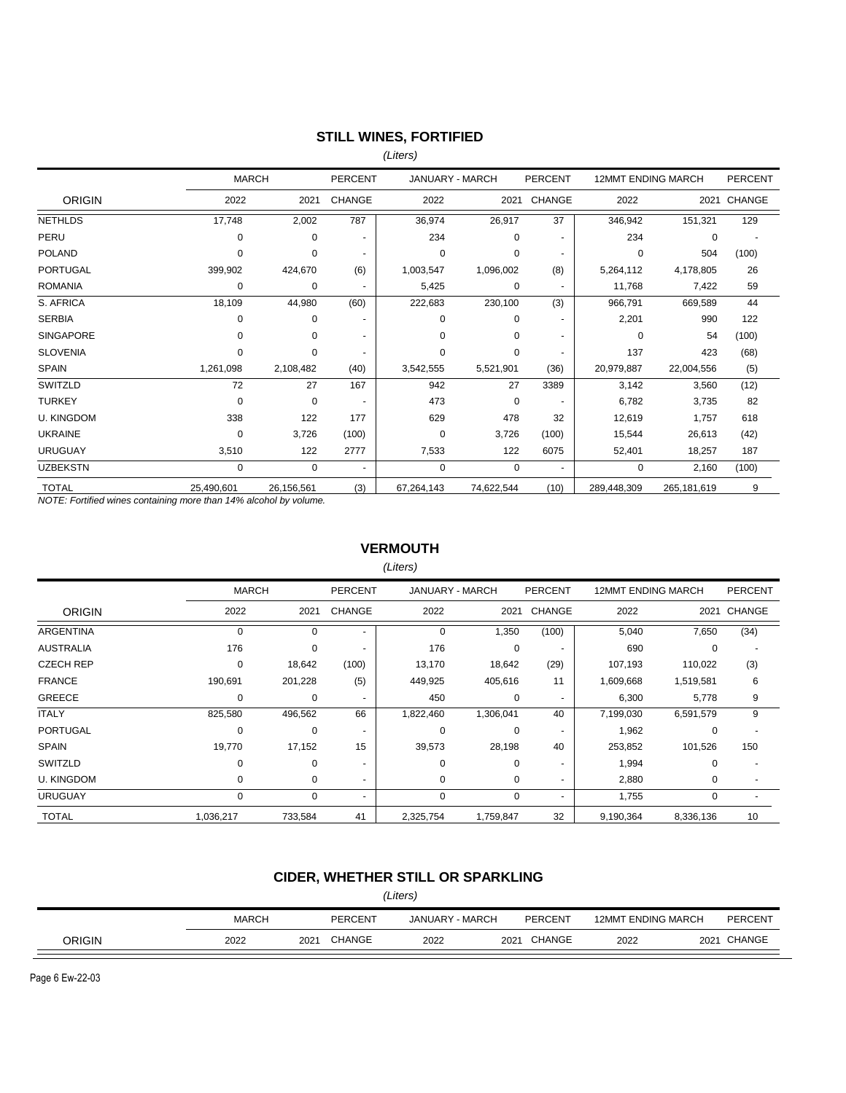### **STILL WINES, FORTIFIED**

*(Liters)*

|                   | <b>MARCH</b> |            | <b>PERCENT</b>           | JANUARY - MARCH |             | <b>PERCENT</b>           | <b>12MMT ENDING MARCH</b> |             | <b>PERCENT</b> |
|-------------------|--------------|------------|--------------------------|-----------------|-------------|--------------------------|---------------------------|-------------|----------------|
| <b>ORIGIN</b>     | 2022         | 2021       | <b>CHANGE</b>            | 2022            | 2021        | <b>CHANGE</b>            | 2022                      | 2021        | CHANGE         |
| <b>NETHLDS</b>    | 17,748       | 2,002      | 787                      | 36,974          | 26,917      | 37                       | 346,942                   | 151,321     | 129            |
| PERU              | 0            | 0          |                          | 234             | 0           |                          | 234                       | 0           |                |
| <b>POLAND</b>     | $\Omega$     | 0          | $\overline{\phantom{a}}$ | $\Omega$        | 0           | $\overline{\phantom{a}}$ | $\Omega$                  | 504         | (100)          |
| <b>PORTUGAL</b>   | 399,902      | 424,670    | (6)                      | 1,003,547       | 1,096,002   | (8)                      | 5,264,112                 | 4,178,805   | 26             |
| <b>ROMANIA</b>    | 0            | 0          | $\overline{\phantom{a}}$ | 5,425           | 0           | $\overline{\phantom{0}}$ | 11,768                    | 7,422       | 59             |
| S. AFRICA         | 18,109       | 44,980     | (60)                     | 222,683         | 230,100     | (3)                      | 966,791                   | 669,589     | 44             |
| <b>SERBIA</b>     | 0            | 0          | $\overline{a}$           | $\Omega$        | 0           |                          | 2,201                     | 990         | 122            |
| <b>SINGAPORE</b>  | $\Omega$     | 0          | $\blacksquare$           | $\Omega$        | 0           |                          | 0                         | 54          | (100)          |
| <b>SLOVENIA</b>   | 0            | 0          | $\blacksquare$           | 0               | 0           |                          | 137                       | 423         | (68)           |
| <b>SPAIN</b>      | 1,261,098    | 2,108,482  | (40)                     | 3,542,555       | 5,521,901   | (36)                     | 20,979,887                | 22,004,556  | (5)            |
| SWITZLD           | 72           | 27         | 167                      | 942             | 27          | 3389                     | 3,142                     | 3,560       | (12)           |
| <b>TURKEY</b>     | 0            | $\Omega$   | $\overline{\phantom{a}}$ | 473             | 0           |                          | 6,782                     | 3,735       | 82             |
| <b>U. KINGDOM</b> | 338          | 122        | 177                      | 629             | 478         | 32                       | 12,619                    | 1,757       | 618            |
| <b>UKRAINE</b>    | 0            | 3,726      | (100)                    | $\mathbf 0$     | 3,726       | (100)                    | 15,544                    | 26,613      | (42)           |
| <b>URUGUAY</b>    | 3,510        | 122        | 2777                     | 7,533           | 122         | 6075                     | 52,401                    | 18,257      | 187            |
| <b>UZBEKSTN</b>   | 0            | $\Omega$   | ٠                        | $\Omega$        | $\mathbf 0$ | $\overline{\phantom{a}}$ | 0                         | 2,160       | (100)          |
| <b>TOTAL</b>      | 25,490,601   | 26,156,561 | (3)                      | 67,264,143      | 74,622,544  | (10)                     | 289,448,309               | 265,181,619 | 9              |

*NOTE: Fortified wines containing more than 14% alcohol by volume.*

### **VERMOUTH**

*(Liters)*

|                   | <b>MARCH</b> |          | <b>PERCENT</b>           | JANUARY - MARCH |           | <b>PERCENT</b>           | <b>12MMT ENDING MARCH</b> |           | <b>PERCENT</b> |
|-------------------|--------------|----------|--------------------------|-----------------|-----------|--------------------------|---------------------------|-----------|----------------|
| <b>ORIGIN</b>     | 2022         | 2021     | <b>CHANGE</b>            | 2022            | 2021      | CHANGE                   | 2022                      | 2021      | CHANGE         |
| <b>ARGENTINA</b>  | $\mathbf 0$  | $\Omega$ | $\blacksquare$           | $\mathbf 0$     | 1,350     | (100)                    | 5,040                     | 7,650     | (34)           |
| <b>AUSTRALIA</b>  | 176          | 0        | $\blacksquare$           | 176             | 0         | $\overline{\phantom{a}}$ | 690                       | 0         |                |
| <b>CZECH REP</b>  | 0            | 18,642   | (100)                    | 13,170          | 18,642    | (29)                     | 107,193                   | 110,022   | (3)            |
| <b>FRANCE</b>     | 190,691      | 201,228  | (5)                      | 449,925         | 405,616   | 11                       | 1,609,668                 | 1,519,581 | 6              |
| <b>GREECE</b>     | 0            | $\Omega$ | $\blacksquare$           | 450             | 0         | $\overline{\phantom{a}}$ | 6,300                     | 5,778     | 9              |
| <b>ITALY</b>      | 825,580      | 496,562  | 66                       | 1,822,460       | 1,306,041 | 40                       | 7,199,030                 | 6,591,579 | 9              |
| <b>PORTUGAL</b>   | 0            | $\Omega$ | $\overline{\phantom{a}}$ | 0               | 0         |                          | 1,962                     | 0         |                |
| <b>SPAIN</b>      | 19,770       | 17,152   | 15                       | 39,573          | 28,198    | 40                       | 253,852                   | 101,526   | 150            |
| SWITZLD           | $\Omega$     | $\Omega$ | $\overline{\phantom{a}}$ | $\Omega$        | $\Omega$  | $\overline{\phantom{a}}$ | 1,994                     | 0         |                |
| <b>U. KINGDOM</b> | 0            | 0        | $\overline{a}$           | 0               | 0         | $\overline{\phantom{a}}$ | 2,880                     | 0         |                |
| <b>URUGUAY</b>    | 0            | $\Omega$ | $\blacksquare$           | 0               | 0         | ٠                        | 1,755                     | 0         |                |
| <b>TOTAL</b>      | 1,036,217    | 733,584  | 41                       | 2,325,754       | 1,759,847 | 32                       | 9,190,364                 | 8,336,136 | 10             |

# **CIDER, WHETHER STILL OR SPARKLING**

| (Liters) |              |                                              |        |      |      |        |      |  |                |
|----------|--------------|----------------------------------------------|--------|------|------|--------|------|--|----------------|
|          | <b>MARCH</b> | JANUARY - MARCH<br>PERCENT<br><b>PERCENT</b> |        |      |      |        |      |  | <b>PERCENT</b> |
| ORIGIN   | 2022         | 2021                                         | CHANGE | 2022 | 2021 | CHANGE | 2022 |  | 2021 CHANGE    |

Page 6 Ew-22-03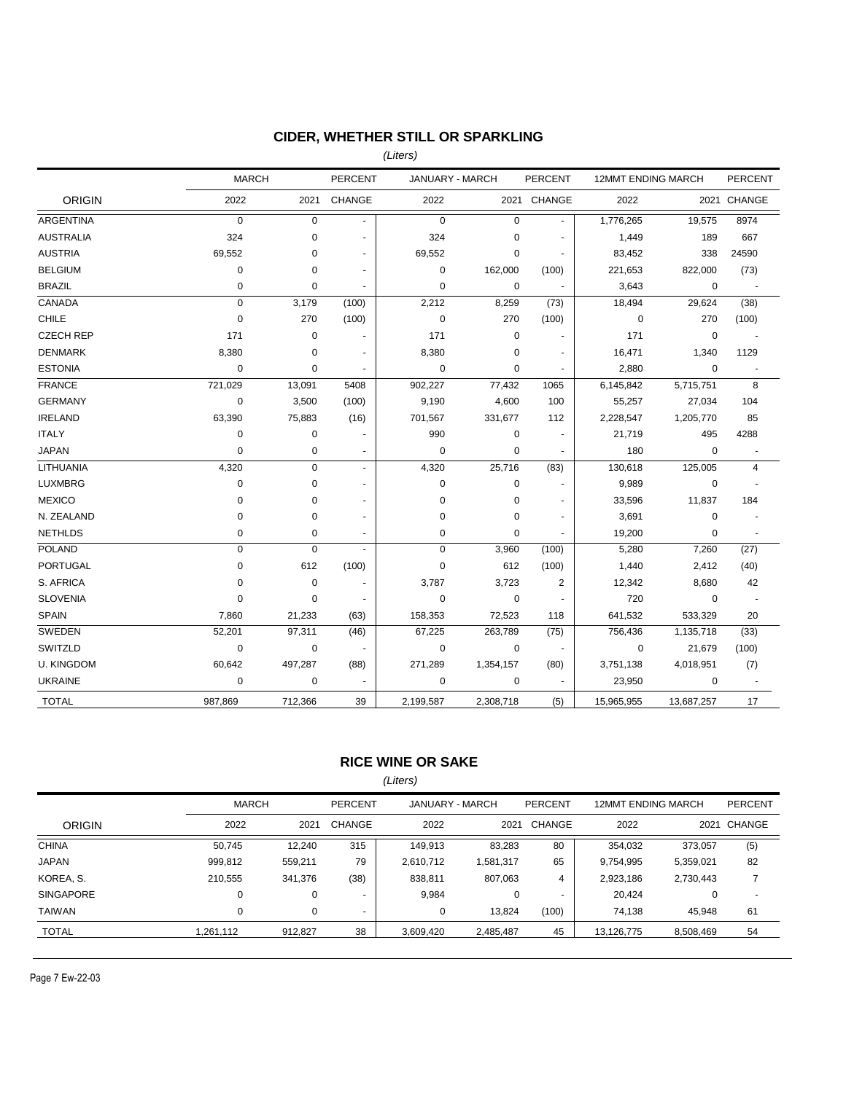# **CIDER, WHETHER STILL OR SPARKLING**

*(Liters)*

|                   | <b>MARCH</b> |             | <b>PERCENT</b> | JANUARY - MARCH |             | PERCENT                  | 12MMT ENDING MARCH |             | <b>PERCENT</b>           |
|-------------------|--------------|-------------|----------------|-----------------|-------------|--------------------------|--------------------|-------------|--------------------------|
| <b>ORIGIN</b>     | 2022         | 2021        | CHANGE         | 2022            |             | 2021 CHANGE              | 2022               |             | 2021 CHANGE              |
| <b>ARGENTINA</b>  | $\mathbf 0$  | $\mathbf 0$ | $\blacksquare$ | $\mathbf 0$     | $\mathbf 0$ |                          | 1,776,265          | 19,575      | 8974                     |
| <b>AUSTRALIA</b>  | 324          | 0           | ä,             | 324             | $\mathbf 0$ |                          | 1,449              | 189         | 667                      |
| <b>AUSTRIA</b>    | 69,552       | 0           | $\overline{a}$ | 69,552          | $\pmb{0}$   |                          | 83,452             | 338         | 24590                    |
| <b>BELGIUM</b>    | $\pmb{0}$    | $\mathbf 0$ | $\blacksquare$ | 0               | 162,000     | (100)                    | 221,653            | 822,000     | (73)                     |
| <b>BRAZIL</b>     | $\mathbf 0$  | $\mathbf 0$ | $\blacksquare$ | $\mathbf 0$     | 0           |                          | 3,643              | 0           |                          |
| CANADA            | $\pmb{0}$    | 3,179       | (100)          | 2,212           | 8,259       | (73)                     | 18,494             | 29,624      | (38)                     |
| CHILE             | $\pmb{0}$    | 270         | (100)          | $\pmb{0}$       | 270         | (100)                    | $\mathbf 0$        | 270         | (100)                    |
| <b>CZECH REP</b>  | 171          | $\mathbf 0$ |                | 171             | $\pmb{0}$   |                          | 171                | $\pmb{0}$   |                          |
| <b>DENMARK</b>    | 8,380        | $\mathbf 0$ | $\blacksquare$ | 8,380           | $\mathbf 0$ | $\blacksquare$           | 16,471             | 1,340       | 1129                     |
| <b>ESTONIA</b>    | $\mathbf 0$  | $\mathbf 0$ |                | $\mathbf 0$     | $\mathbf 0$ |                          | 2,880              | $\mathbf 0$ |                          |
| <b>FRANCE</b>     | 721,029      | 13,091      | 5408           | 902,227         | 77,432      | 1065                     | 6,145,842          | 5,715,751   | 8                        |
| <b>GERMANY</b>    | $\mathbf 0$  | 3,500       | (100)          | 9,190           | 4,600       | 100                      | 55,257             | 27,034      | 104                      |
| <b>IRELAND</b>    | 63,390       | 75,883      | (16)           | 701,567         | 331,677     | 112                      | 2,228,547          | 1,205,770   | 85                       |
| <b>ITALY</b>      | $\mathbf 0$  | 0           |                | 990             | $\pmb{0}$   | $\blacksquare$           | 21,719             | 495         | 4288                     |
| <b>JAPAN</b>      | $\mathbf 0$  | 0           | ٠              | $\mathbf 0$     | $\pmb{0}$   |                          | 180                | 0           |                          |
| LITHUANIA         | 4,320        | $\mathsf 0$ | $\blacksquare$ | 4,320           | 25,716      | (83)                     | 130,618            | 125,005     | $\overline{4}$           |
| <b>LUXMBRG</b>    | $\mathbf 0$  | 0           | ٠              | $\mathbf 0$     | $\mathbf 0$ |                          | 9,989              | 0           |                          |
| <b>MEXICO</b>     | $\mathbf 0$  | $\mathbf 0$ | ÷,             | $\mathbf 0$     | $\pmb{0}$   | $\overline{\phantom{a}}$ | 33,596             | 11,837      | 184                      |
| N. ZEALAND        | 0            | $\mathbf 0$ | $\overline{a}$ | $\mathbf 0$     | $\pmb{0}$   | $\blacksquare$           | 3,691              | 0           |                          |
| <b>NETHLDS</b>    | $\mathbf 0$  | 0           | ٠              | $\mathbf 0$     | $\mathbf 0$ | $\blacksquare$           | 19,200             | 0           | $\overline{\phantom{a}}$ |
| <b>POLAND</b>     | $\mathbf 0$  | $\mathbf 0$ | L.             | $\mathbf 0$     | 3,960       | (100)                    | 5,280              | 7,260       | (27)                     |
| <b>PORTUGAL</b>   | $\mathbf 0$  | 612         | (100)          | $\mathbf 0$     | 612         | (100)                    | 1,440              | 2,412       | (40)                     |
| S. AFRICA         | $\mathbf 0$  | $\pmb{0}$   | ٠              | 3,787           | 3,723       | $\overline{2}$           | 12,342             | 8,680       | 42                       |
| <b>SLOVENIA</b>   | $\mathbf 0$  | 0           |                | $\mathbf 0$     | $\mathbf 0$ |                          | 720                | 0           |                          |
| <b>SPAIN</b>      | 7,860        | 21,233      | (63)           | 158,353         | 72,523      | 118                      | 641,532            | 533,329     | 20                       |
| SWEDEN            | 52,201       | 97,311      | (46)           | 67,225          | 263,789     | (75)                     | 756,436            | 1,135,718   | (33)                     |
| SWITZLD           | $\mathbf 0$  | $\mathbf 0$ |                | $\mathbf 0$     | 0           | $\blacksquare$           | 0                  | 21,679      | (100)                    |
| <b>U. KINGDOM</b> | 60,642       | 497,287     | (88)           | 271,289         | 1,354,157   | (80)                     | 3,751,138          | 4,018,951   | (7)                      |
| <b>UKRAINE</b>    | $\mathbf 0$  | 0           |                | 0               | 0           |                          | 23,950             | 0           |                          |
| <b>TOTAL</b>      | 987,869      | 712,366     | 39             | 2,199,587       | 2,308,718   | (5)                      | 15,965,955         | 13,687,257  | 17                       |

### **RICE WINE OR SAKE**

*(Liters)*

|                  | <b>MARCH</b> |         | <b>PERCENT</b><br>JANUARY - MARCH |           | PERCENT   | <b>12MMT ENDING MARCH</b> |            | <b>PERCENT</b> |                          |
|------------------|--------------|---------|-----------------------------------|-----------|-----------|---------------------------|------------|----------------|--------------------------|
| <b>ORIGIN</b>    | 2022         | 2021    | <b>CHANGE</b>                     | 2022      | 2021      | CHANGE                    | 2022       | 2021           | CHANGE                   |
| <b>CHINA</b>     | 50.745       | 12,240  | 315                               | 149,913   | 83,283    | 80                        | 354,032    | 373,057        | (5)                      |
| JAPAN            | 999,812      | 559,211 | 79                                | 2,610,712 | 1,581,317 | 65                        | 9,754,995  | 5,359,021      | 82                       |
| KOREA, S.        | 210.555      | 341,376 | (38)                              | 838,811   | 807,063   | 4                         | 2,923,186  | 2,730,443      |                          |
| <b>SINGAPORE</b> | 0            |         | $\overline{a}$                    | 9,984     | 0         | $\overline{\phantom{a}}$  | 20.424     | 0              | $\overline{\phantom{a}}$ |
| TAIWAN           | 0            |         | $\overline{a}$                    | 0         | 13,824    | (100)                     | 74,138     | 45.948         | 61                       |
| <b>TOTAL</b>     | 1.261.112    | 912.827 | 38                                | 3.609.420 | 2,485,487 | 45                        | 13.126.775 | 8,508,469      | 54                       |

Page 7 Ew-22-03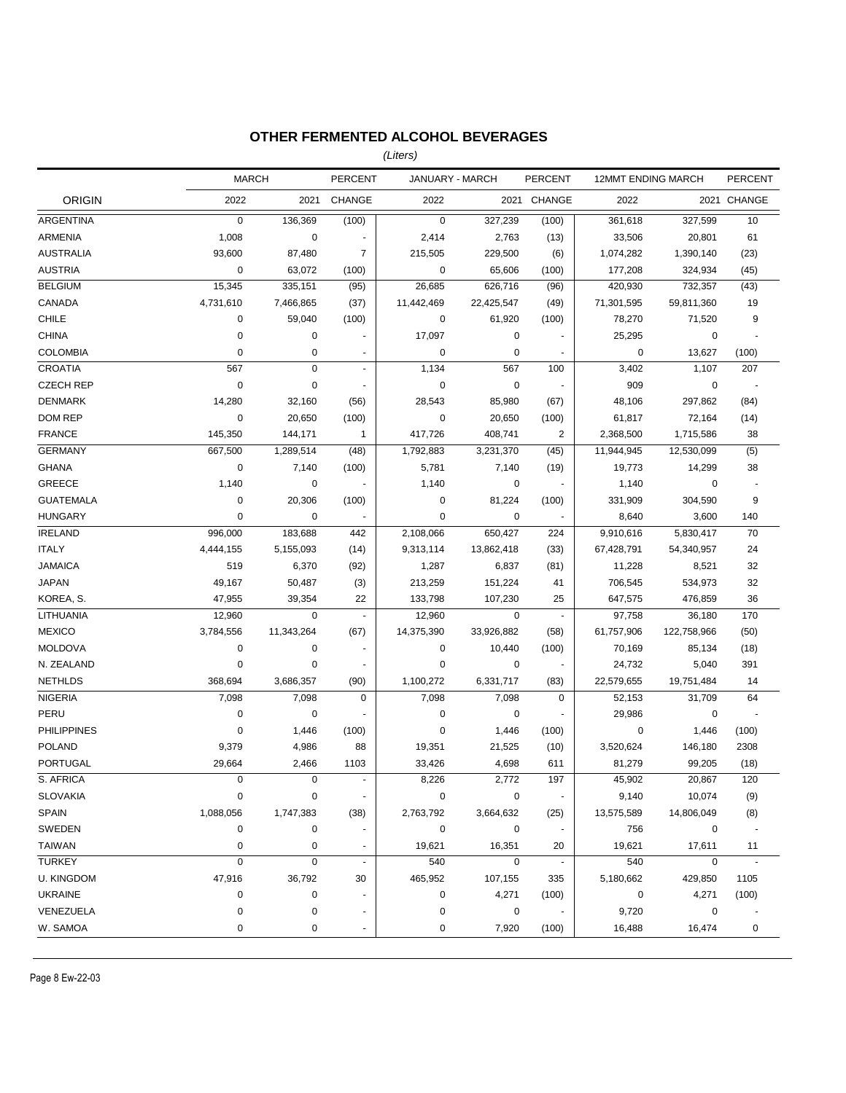### **OTHER FERMENTED ALCOHOL BEVERAGES**

*(Liters)*

|                    | <b>MARCH</b> |             | <b>PERCENT</b>           | JANUARY - MARCH |            | <b>PERCENT</b>           | <b>12MMT ENDING MARCH</b> |             | <b>PERCENT</b>           |
|--------------------|--------------|-------------|--------------------------|-----------------|------------|--------------------------|---------------------------|-------------|--------------------------|
| <b>ORIGIN</b>      | 2022         | 2021        | <b>CHANGE</b>            | 2022            |            | 2021 CHANGE              | 2022                      |             | 2021 CHANGE              |
| ARGENTINA          | $\mathbf 0$  | 136,369     | (100)                    | 0               | 327,239    | (100)                    | 361,618                   | 327,599     | 10                       |
| ARMENIA            | 1,008        | $\mathbf 0$ |                          | 2,414           | 2,763      | (13)                     | 33,506                    | 20,801      | 61                       |
| <b>AUSTRALIA</b>   | 93,600       | 87,480      | $\overline{7}$           | 215,505         | 229,500    | (6)                      | 1,074,282                 | 1,390,140   | (23)                     |
| <b>AUSTRIA</b>     | 0            | 63,072      | (100)                    | 0               | 65,606     | (100)                    | 177,208                   | 324,934     | (45)                     |
| <b>BELGIUM</b>     | 15,345       | 335,151     | (95)                     | 26,685          | 626,716    | (96)                     | 420,930                   | 732,357     | (43)                     |
| CANADA             | 4,731,610    | 7,466,865   | (37)                     | 11,442,469      | 22,425,547 | (49)                     | 71,301,595                | 59,811,360  | 19                       |
| <b>CHILE</b>       | 0            | 59,040      | (100)                    | $\mathbf 0$     | 61,920     | (100)                    | 78,270                    | 71,520      | 9                        |
| <b>CHINA</b>       | $\pmb{0}$    | 0           |                          | 17,097          | $\pmb{0}$  |                          | 25,295                    | $\mathbf 0$ | ÷,                       |
| <b>COLOMBIA</b>    | $\mathbf 0$  | 0           |                          | 0               | $\pmb{0}$  |                          | 0                         | 13,627      | (100)                    |
| <b>CROATIA</b>     | 567          | 0           | $\blacksquare$           | 1,134           | 567        | 100                      | 3,402                     | 1,107       | 207                      |
| <b>CZECH REP</b>   | $\pmb{0}$    | 0           | $\overline{\phantom{a}}$ | $\mathbf 0$     | $\pmb{0}$  | $\blacksquare$           | 909                       | $\mathbf 0$ | $\overline{\phantom{a}}$ |
| <b>DENMARK</b>     | 14,280       | 32,160      | (56)                     | 28,543          | 85,980     | (67)                     | 48,106                    | 297,862     | (84)                     |
| DOM REP            | $\pmb{0}$    | 20,650      | (100)                    | $\mathbf 0$     | 20,650     | (100)                    | 61,817                    | 72,164      | (14)                     |
| <b>FRANCE</b>      | 145,350      | 144,171     | 1                        | 417,726         | 408,741    | 2                        | 2,368,500                 | 1,715,586   | 38                       |
| <b>GERMANY</b>     | 667,500      | 1,289,514   | (48)                     | 1,792,883       | 3,231,370  | (45)                     | 11,944,945                | 12,530,099  | (5)                      |
| <b>GHANA</b>       | 0            | 7,140       | (100)                    | 5,781           | 7,140      | (19)                     | 19,773                    | 14,299      | 38                       |
| <b>GREECE</b>      | 1,140        | 0           |                          | 1,140           | 0          |                          | 1,140                     | $\mathbf 0$ |                          |
| <b>GUATEMALA</b>   | 0            | 20,306      | (100)                    | 0               | 81,224     | (100)                    | 331,909                   | 304,590     | 9                        |
| <b>HUNGARY</b>     | $\mathbf 0$  | 0           |                          | $\mathbf 0$     | $\pmb{0}$  |                          | 8,640                     | 3,600       | 140                      |
| <b>IRELAND</b>     | 996,000      | 183,688     | 442                      | 2,108,066       | 650,427    | 224                      | 9,910,616                 | 5,830,417   | 70                       |
| <b>ITALY</b>       | 4,444,155    | 5,155,093   | (14)                     | 9,313,114       | 13,862,418 | (33)                     | 67,428,791                | 54,340,957  | 24                       |
| <b>JAMAICA</b>     | 519          | 6,370       | (92)                     | 1,287           | 6,837      | (81)                     | 11,228                    | 8,521       | 32                       |
| <b>JAPAN</b>       | 49,167       | 50,487      | (3)                      | 213,259         | 151,224    | 41                       | 706,545                   | 534,973     | 32                       |
| KOREA, S.          | 47,955       | 39,354      | 22                       | 133,798         | 107,230    | 25                       | 647,575                   | 476,859     | 36                       |
| LITHUANIA          | 12,960       | 0           | $\blacksquare$           | 12,960          | 0          | $\blacksquare$           | 97,758                    | 36,180      | 170                      |
| <b>MEXICO</b>      | 3,784,556    | 11,343,264  | (67)                     | 14,375,390      | 33,926,882 | (58)                     | 61,757,906                | 122,758,966 | (50)                     |
| <b>MOLDOVA</b>     | $\pmb{0}$    | 0           |                          | $\mathbf 0$     | 10,440     | (100)                    | 70,169                    | 85,134      | (18)                     |
| N. ZEALAND         | $\pmb{0}$    | 0           |                          | $\mathbf 0$     | $\pmb{0}$  | ÷,                       | 24,732                    | 5,040       | 391                      |
| <b>NETHLDS</b>     | 368,694      | 3,686,357   | (90)                     | 1,100,272       | 6,331,717  | (83)                     | 22,579,655                | 19,751,484  | 14                       |
| <b>NIGERIA</b>     | 7,098        | 7,098       | $\mathbf 0$              | 7,098           | 7,098      | $\mathbf 0$              | 52,153                    | 31,709      | 64                       |
| PERU               | $\pmb{0}$    | 0           |                          | $\mathbf 0$     | 0          |                          | 29,986                    | 0           |                          |
| <b>PHILIPPINES</b> | $\mathbf 0$  | 1,446       | (100)                    | 0               | 1,446      | (100)                    | $\mathbf 0$               | 1,446       | (100)                    |
| <b>POLAND</b>      | 9,379        | 4,986       | 88                       | 19,351          | 21,525     | (10)                     | 3,520,624                 | 146,180     | 2308                     |
| PORTUGAL           | 29,664       | 2,466       | 1103                     | 33,426          | 4,698      | 611                      | 81,279                    | 99,205      | (18)                     |
| S. AFRICA          | $\mathbf 0$  | 0           | $\omega$                 | 8,226           | 2,772      | 197                      | 45,902                    | 20,867      | 120                      |
| SLOVAKIA           | 0            | 0           |                          | 0               | 0          | $\ddot{\phantom{0}}$     | 9,140                     | 10,074      | (9)                      |
| SPAIN              | 1,088,056    | 1,747,383   | (38)                     | 2,763,792       | 3,664,632  | (25)                     | 13,575,589                | 14,806,049  | (8)                      |
| SWEDEN             | 0            | 0           |                          | 0               | 0          | $\blacksquare$           | 756                       | 0           | $\overline{\phantom{a}}$ |
| TAIWAN             | 0            | 0           | $\overline{a}$           | 19,621          | 16,351     | 20                       | 19,621                    | 17,611      | 11                       |
| <b>TURKEY</b>      | $\pmb{0}$    | 0           | $\blacksquare$           | 540             | 0          | $\blacksquare$           | 540                       | $\mathbf 0$ |                          |
| U. KINGDOM         | 47,916       | 36,792      | 30                       | 465,952         | 107,155    | 335                      | 5,180,662                 | 429,850     | 1105                     |
| <b>UKRAINE</b>     | 0            | 0           | ä,                       | 0               | 4,271      | (100)                    | 0                         | 4,271       | (100)                    |
| VENEZUELA          | $\pmb{0}$    | 0           | $\overline{a}$           | 0               | 0          | $\overline{\phantom{a}}$ | 9,720                     | 0           |                          |
| W. SAMOA           | 0            | 0           |                          | 0               | 7,920      | (100)                    | 16,488                    | 16,474      | 0                        |
|                    |              |             |                          |                 |            |                          |                           |             |                          |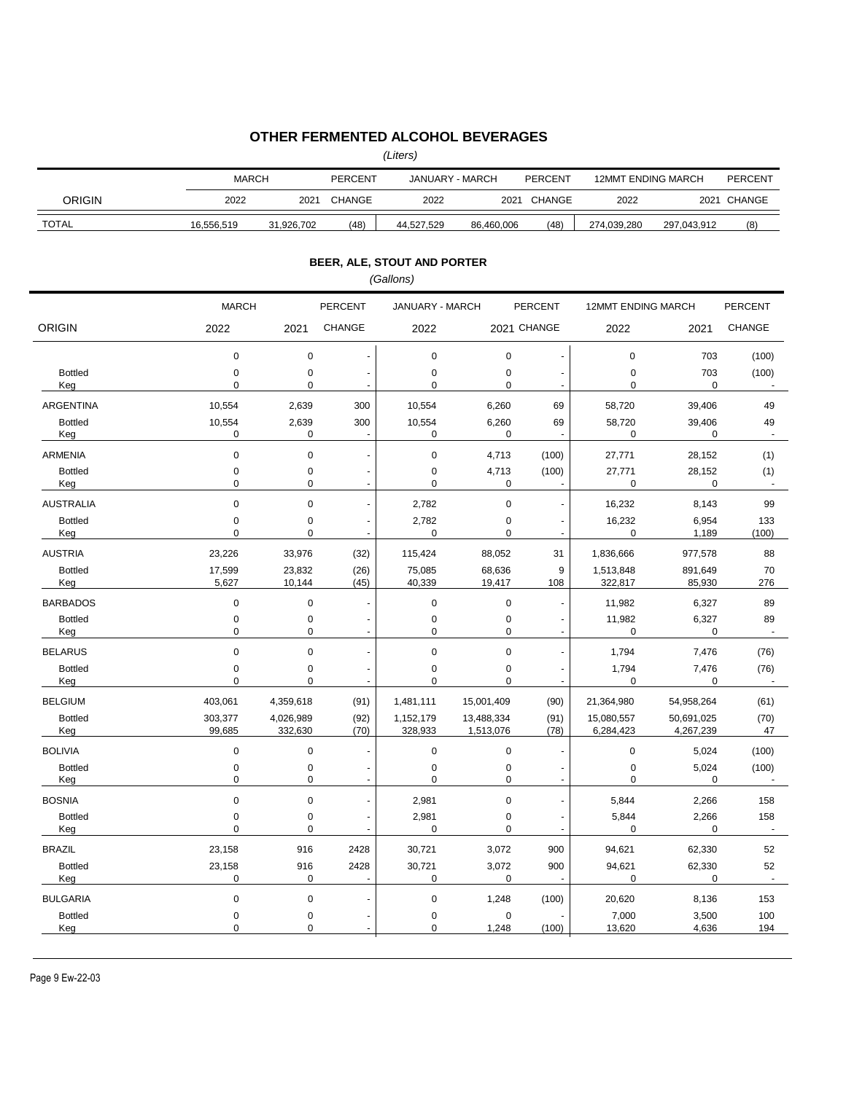### **OTHER FERMENTED ALCOHOL BEVERAGES**

*(Liters)*

|                       | <b>MARCH</b>     |                  | <b>PERCENT</b><br>JANUARY - MARCH |                             |               | <b>PERCENT</b>                                   | <b>12MMT ENDING MARCH</b> |                       | <b>PERCENT</b>       |
|-----------------------|------------------|------------------|-----------------------------------|-----------------------------|---------------|--------------------------------------------------|---------------------------|-----------------------|----------------------|
| <b>ORIGIN</b>         | 2022             | 2021             | CHANGE                            | 2022                        |               | 2021 CHANGE                                      | 2022                      |                       | 2021 CHANGE          |
| <b>TOTAL</b>          | 16,556,519       | 31,926,702       | (48)                              | 44,527,529                  | 86,460,006    | (48)                                             | 274,039,280               | 297,043,912           | (8)                  |
|                       |                  |                  |                                   | BEER, ALE, STOUT AND PORTER |               |                                                  |                           |                       |                      |
|                       |                  |                  |                                   | (Gallons)                   |               |                                                  |                           |                       |                      |
|                       | <b>MARCH</b>     |                  | PERCENT                           | JANUARY - MARCH             |               | <b>PERCENT</b>                                   | 12MMT ENDING MARCH        |                       | <b>PERCENT</b>       |
| <b>ORIGIN</b>         | 2022             | 2021             | CHANGE                            | 2022                        |               | 2021 CHANGE                                      | 2022                      | 2021                  | <b>CHANGE</b>        |
|                       | 0                | 0                |                                   | $\mathbf 0$                 | 0             | $\overline{a}$                                   | 0                         | 703                   | (100)                |
| <b>Bottled</b><br>Keg | 0<br>$\mathbf 0$ | 0<br>0           | $\overline{a}$                    | 0<br>$\mathbf 0$            | 0<br>0        | $\overline{\phantom{a}}$<br>$\ddot{\phantom{a}}$ | 0<br>0                    | 703<br>$\mathbf 0$    | (100)                |
| ARGENTINA             | 10,554           | 2,639            | 300                               | 10,554                      | 6,260         | 69                                               | 58,720                    | 39,406                | 49                   |
| <b>Bottled</b><br>Keg | 10,554<br>0      | 2,639<br>0       | 300<br>$\overline{\phantom{a}}$   | 10,554<br>$\mathbf 0$       | 6,260<br>0    | 69<br>÷,                                         | 58,720<br>0               | 39,406<br>0           | 49<br>$\sim$         |
| <b>ARMENIA</b>        | $\pmb{0}$        | $\mathbf 0$      |                                   | $\pmb{0}$                   | 4,713         | (100)                                            | 27,771                    | 28,152                | (1)                  |
| <b>Bottled</b><br>Keg | $\pmb{0}$<br>0   | 0<br>$\mathbf 0$ |                                   | $\pmb{0}$<br>$\mathbf 0$    | 4,713<br>0    | (100)                                            | 27,771<br>0               | 28,152<br>$\mathbf 0$ | (1)<br>$\sim$        |
| <b>AUSTRALIA</b>      | $\mathbf 0$      | $\mathbf 0$      |                                   | 2,782                       | 0             | ÷                                                | 16,232                    | 8,143                 | 99                   |
| <b>Bottled</b>        | $\pmb{0}$        | $\mathbf 0$      |                                   | 2,782                       | 0             | ÷                                                | 16,232                    | 6,954                 | 133                  |
| Keg<br><b>AUSTRIA</b> | 0<br>23,226      | 0<br>33,976      | $\blacksquare$<br>(32)            | $\mathbf 0$<br>115,424      | 0<br>88,052   | $\blacksquare$<br>31                             | 0<br>1,836,666            | 1,189<br>977,578      | (100)<br>88          |
| <b>Bottled</b>        | 17,599           | 23,832           | (26)                              | 75,085                      | 68,636        | 9                                                | 1,513,848                 | 891,649               | 70                   |
| Keg                   | 5,627            | 10,144           | (45)                              | 40,339                      | 19,417        | 108                                              | 322,817                   | 85,930                | 276                  |
| <b>BARBADOS</b>       | $\mathbf 0$      | 0                |                                   | 0                           | 0             | $\overline{\phantom{a}}$                         | 11,982                    | 6,327                 | 89                   |
| <b>Bottled</b><br>Keg | $\pmb{0}$<br>0   | 0<br>0           | $\overline{\phantom{a}}$          | 0<br>$\mathbf 0$            | 0<br>0        | $\overline{\phantom{a}}$<br>$\blacksquare$       | 11,982<br>0               | 6,327<br>0            | 89<br>$\blacksquare$ |
| <b>BELARUS</b>        | $\mathbf 0$      | 0                |                                   | $\pmb{0}$                   | 0             | $\blacksquare$                                   | 1,794                     | 7,476                 | (76)                 |
| <b>Bottled</b><br>Keg | $\mathbf 0$<br>0 | 0<br>0           | $\blacksquare$                    | 0<br>0                      | 0<br>0        | $\overline{a}$<br>$\blacksquare$                 | 1,794<br>0                | 7,476<br>$\mathbf 0$  | (76)                 |
| <b>BELGIUM</b>        | 403,061          | 4,359,618        | (91)                              | 1,481,111                   | 15,001,409    | (90)                                             | 21,364,980                | 54,958,264            | (61)                 |
| <b>Bottled</b>        | 303,377          | 4,026,989        | (92)                              | 1,152,179                   | 13,488,334    | (91)                                             | 15,080,557                | 50,691,025            | (70)                 |
| Keg                   | 99,685           | 332,630          | (70)                              | 328,933                     | 1,513,076     | (78)                                             | 6,284,423                 | 4,267,239             | 47                   |
| <b>BOLIVIA</b>        | 0                | 0                |                                   | $\pmb{0}$                   | 0             |                                                  | 0                         | 5,024                 | (100)                |
| <b>Bottled</b><br>Keg | 0<br>$\Omega$    | 0<br>$\Omega$    |                                   | 0<br>$\Omega$               | 0<br>$\Omega$ |                                                  | 0<br>0                    | 5,024<br>0            | (100)                |
| <b>BOSNIA</b>         | $\pmb{0}$        | 0                |                                   | 2,981                       | 0             |                                                  | 5,844                     | 2,266                 | 158                  |
| <b>Bottled</b>        | 0                | 0                |                                   | 2,981                       | 0             |                                                  | 5,844                     | 2,266                 | 158                  |
| Keg                   | 0                | 0                |                                   | $\mathbf 0$                 | 0             |                                                  | 0                         | $\mathbf 0$           | ÷,                   |
| <b>BRAZIL</b>         | 23,158           | 916              | 2428                              | 30,721                      | 3,072         | 900                                              | 94,621                    | 62,330                | 52                   |
| <b>Bottled</b>        | 23,158           | 916              | 2428                              | 30,721                      | 3,072         | 900                                              | 94,621                    | 62,330                | 52                   |
| Keg                   | 0                | 0                |                                   | 0                           | 0             |                                                  | 0                         | 0                     | $\blacksquare$       |
| <b>BULGARIA</b>       | 0                | 0                |                                   | $\pmb{0}$                   | 1,248         | (100)                                            | 20,620                    | 8,136                 | 153                  |
| <b>Bottled</b><br>Keg | 0<br>0           | 0<br>0           |                                   | 0<br>$\mathbf 0$            | 0<br>1,248    | (100)                                            | 7,000<br>13,620           | 3,500<br>4,636        | 100<br>194           |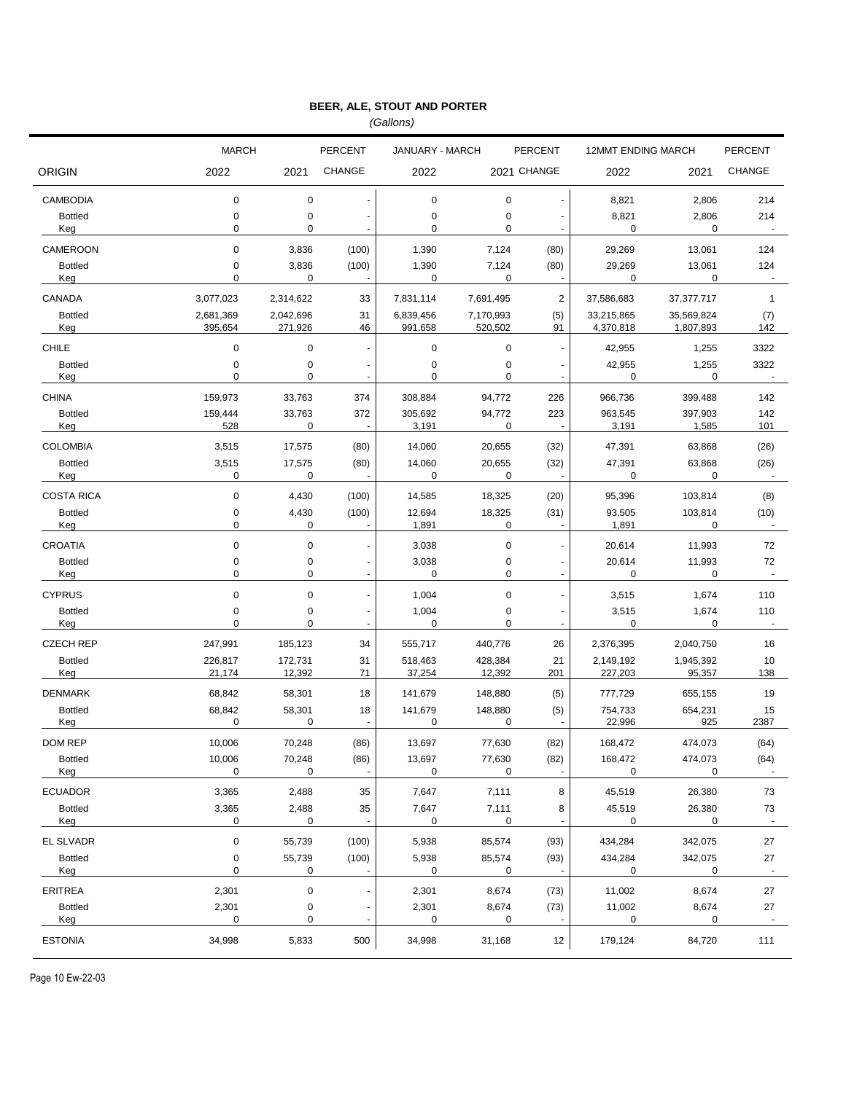*(Gallons)*

|                       | <b>MARCH</b>             |                      | <b>PERCENT</b>                  | JANUARY - MARCH        |                      | <b>PERCENT</b>                                       | <b>12MMT ENDING MARCH</b> |                         | <b>PERCENT</b>       |
|-----------------------|--------------------------|----------------------|---------------------------------|------------------------|----------------------|------------------------------------------------------|---------------------------|-------------------------|----------------------|
| <b>ORIGIN</b>         | 2022                     | 2021                 | <b>CHANGE</b>                   | 2022                   |                      | 2021 CHANGE                                          | 2022                      | 2021                    | <b>CHANGE</b>        |
| <b>CAMBODIA</b>       | $\mathbf 0$              | 0                    | $\overline{a}$                  | $\mathbf 0$            | 0                    | $\blacksquare$                                       | 8,821                     | 2,806                   | 214                  |
| <b>Bottled</b><br>Keg | $\mathbf 0$<br>0         | 0<br>0               | ٠                               | 0<br>0                 | $\pmb{0}$<br>0       |                                                      | 8,821<br>0                | 2,806<br>0              | 214                  |
| CAMEROON              | $\mathbf 0$              | 3,836                | (100)                           | 1,390                  | 7,124                | (80)                                                 | 29,269                    | 13,061                  | 124                  |
| <b>Bottled</b><br>Keg | $\pmb{0}$<br>$\mathbf 0$ | 3,836<br>0           | (100)                           | 1,390<br>0             | 7,124<br>0           | (80)                                                 | 29,269<br>0               | 13,061<br>0             | 124                  |
| CANADA                | 3,077,023                | 2,314,622            | 33                              | 7,831,114              | 7,691,495            | $\overline{c}$                                       | 37,586,683                | 37,377,717              | $\mathbf{1}$         |
| <b>Bottled</b><br>Keg | 2,681,369<br>395,654     | 2,042,696<br>271,926 | 31<br>46                        | 6,839,456<br>991,658   | 7,170,993<br>520,502 | (5)<br>91                                            | 33,215,865<br>4,370,818   | 35,569,824<br>1,807,893 | (7)<br>142           |
| <b>CHILE</b>          | 0                        | 0                    | ä,                              | $\mathbf 0$            | 0                    | $\blacksquare$                                       | 42,955                    | 1,255                   | 3322                 |
| <b>Bottled</b><br>Keg | $\pmb{0}$<br>$\mathbf 0$ | 0<br>0               |                                 | $\mathbf 0$<br>0       | 0<br>$\pmb{0}$       | $\overline{\phantom{a}}$                             | 42,955<br>0               | 1,255<br>0              | 3322                 |
| <b>CHINA</b>          | 159,973                  | 33,763               | 374                             | 308,884                | 94,772               | 226                                                  | 966,736                   | 399,488                 | 142                  |
| <b>Bottled</b><br>Keg | 159,444<br>528           | 33,763<br>0          | 372<br>J.                       | 305,692<br>3,191       | 94,772<br>0          | 223                                                  | 963,545<br>3,191          | 397,903<br>1,585        | 142<br>101           |
| <b>COLOMBIA</b>       | 3,515                    | 17,575               | (80)                            | 14,060                 | 20,655               | (32)                                                 | 47,391                    | 63,868                  | (26)                 |
| <b>Bottled</b><br>Keg | 3,515<br>$\pmb{0}$       | 17,575<br>0          | (80)                            | 14,060<br>0            | 20,655<br>0          | (32)                                                 | 47,391<br>0               | 63,868<br>0             | (26)                 |
| <b>COSTA RICA</b>     | $\mathbf 0$              | 4,430                | (100)                           | 14,585                 | 18,325               | (20)                                                 | 95,396                    | 103,814                 | (8)                  |
| <b>Bottled</b><br>Keg | $\pmb{0}$<br>0           | 4,430<br>0           | (100)                           | 12,694<br>1,891        | 18,325<br>0          | (31)                                                 | 93,505<br>1,891           | 103,814<br>0            | (10)                 |
| <b>CROATIA</b>        | $\mathbf 0$              | $\mathbf 0$          | $\overline{a}$                  | 3,038                  | $\pmb{0}$            | $\blacksquare$                                       | 20,614                    | 11,993                  | 72                   |
| <b>Bottled</b><br>Keg | 0<br>0                   | 0<br>0               | $\frac{1}{2}$<br>$\blacksquare$ | 3,038<br>$\mathbf 0$   | 0<br>0               | $\overline{\phantom{a}}$<br>$\overline{\phantom{a}}$ | 20,614<br>0               | 11,993<br>0             | 72                   |
| <b>CYPRUS</b>         | $\pmb{0}$                | $\mathbf 0$          | $\ddot{\phantom{0}}$            | 1,004                  | $\pmb{0}$            | ÷,                                                   | 3,515                     | 1,674                   | 110                  |
| <b>Bottled</b><br>Keg | 0<br>0                   | 0<br>0               | $\overline{a}$<br>ä,            | 1,004<br>$\mathbf 0$   | 0<br>0               | $\overline{\phantom{a}}$<br>$\blacksquare$           | 3,515<br>0                | 1,674<br>0              | 110                  |
| <b>CZECH REP</b>      | 247,991                  | 185,123              | 34                              | 555,717                | 440,776              | 26                                                   | 2,376,395                 | 2,040,750               | 16                   |
| <b>Bottled</b><br>Keg | 226,817<br>21,174        | 172,731<br>12,392    | 31<br>71                        | 518,463<br>37,254      | 428,384<br>12,392    | 21<br>201                                            | 2,149,192<br>227,203      | 1,945,392<br>95,357     | 10<br>138            |
| <b>DENMARK</b>        | 68,842                   | 58,301               | 18                              | 141,679                | 148,880              | (5)                                                  | 777,729                   | 655,155                 | 19                   |
| <b>Bottled</b><br>Keg | 68,842<br>0              | 58,301<br>0          | 18<br>$\blacksquare$            | 141,679<br>$\mathbf 0$ | 148,880<br>0         | (5)                                                  | 754,733<br>22,996         | 654,231<br>925          | 15<br>2387           |
| DOM REP               | 10,006                   | 70,248               | (86)                            | 13,697                 | 77,630               | (82)                                                 | 168,472                   | 474,073                 | (64)                 |
| <b>Bottled</b><br>Keg | 10,006<br>0              | 70,248<br>0          | (86)                            | 13,697<br>0            | 77,630<br>0          | (82)                                                 | 168,472<br>0              | 474,073<br>0            | (64)                 |
| <b>ECUADOR</b>        | 3,365                    | 2,488                | 35                              | 7,647                  | 7,111                | 8                                                    | 45,519                    | 26,380                  | 73                   |
| <b>Bottled</b><br>Keg | 3,365<br>0               | 2,488<br>0           | 35<br>÷,                        | 7,647<br>0             | 7,111<br>0           | 8<br>٠                                               | 45,519<br>0               | 26,380<br>0             | 73<br>$\blacksquare$ |
| EL SLVADR             | $\pmb{0}$                | 55,739               | (100)                           | 5,938                  | 85,574               | (93)                                                 | 434,284                   | 342,075                 | 27                   |
| <b>Bottled</b><br>Keg | 0<br>0                   | 55,739<br>0          | (100)<br>$\blacksquare$         | 5,938<br>0             | 85,574<br>0          | (93)                                                 | 434,284<br>0              | 342,075<br>0            | 27<br>$\blacksquare$ |
| <b>ERITREA</b>        | 2,301                    | $\pmb{0}$            |                                 | 2,301                  | 8,674                | (73)                                                 | 11,002                    | 8,674                   | 27                   |
| <b>Bottled</b><br>Keg | 2,301<br>0               | 0<br>0               | $\blacksquare$                  | 2,301<br>0             | 8,674<br>0           | (73)                                                 | 11,002<br>0               | 8,674<br>0              | 27<br>$\blacksquare$ |
| <b>ESTONIA</b>        | 34,998                   | 5,833                | 500                             | 34,998                 | 31,168               | 12                                                   | 179,124                   | 84,720                  | 111                  |

Page 10 Ew-22-03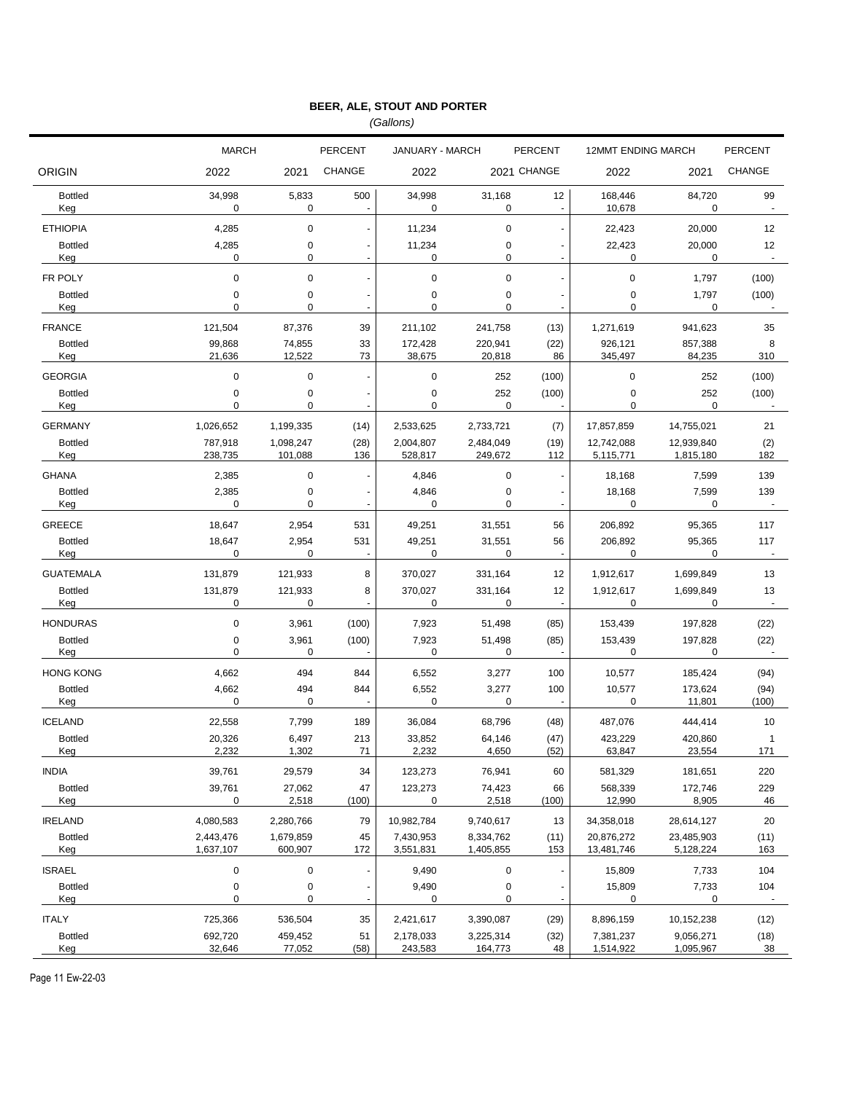*(Gallons)*

|                                    | <b>MARCH</b>       |                    | <b>PERCENT</b> | JANUARY - MARCH       |                    | PERCENT                  | <b>12MMT ENDING MARCH</b> |                        | <b>PERCENT</b>           |
|------------------------------------|--------------------|--------------------|----------------|-----------------------|--------------------|--------------------------|---------------------------|------------------------|--------------------------|
| <b>ORIGIN</b>                      | 2022               | 2021               | <b>CHANGE</b>  | 2022                  |                    | 2021 CHANGE              | 2022                      | 2021                   | <b>CHANGE</b>            |
| <b>Bottled</b><br>Keg              | 34,998<br>0        | 5,833<br>0         | 500            | 34,998<br>$\mathbf 0$ | 31,168<br>0        | 12<br>$\sim$             | 168,446<br>10,678         | 84,720<br>0            | 99<br>$\sim$             |
| <b>ETHIOPIA</b>                    | 4,285              | $\mathbf 0$        |                | 11,234                | 0                  | $\blacksquare$           | 22,423                    | 20,000                 | 12                       |
| <b>Bottled</b>                     | 4,285              | 0                  |                | 11,234                | 0                  | $\blacksquare$           | 22,423                    | 20,000                 | 12                       |
| Keg                                | 0                  | 0                  |                | $\mathbf 0$           | 0                  | $\sim$                   | 0                         | 0                      | $\sim$                   |
| FR POLY<br><b>Bottled</b>          | 0<br>0             | $\mathbf 0$<br>0   |                | $\mathbf 0$<br>0      | 0<br>0             | $\sim$<br>$\sim$         | $\mathbf 0$<br>0          | 1,797                  | (100)<br>(100)           |
| Keg                                | 0                  | 0                  |                | 0                     | 0                  |                          | 0                         | 1,797<br>0             |                          |
| <b>FRANCE</b>                      | 121,504            | 87,376             | 39             | 211,102               | 241,758            | (13)                     | 1,271,619                 | 941,623                | 35                       |
| <b>Bottled</b>                     | 99,868             | 74,855             | 33             | 172,428               | 220,941            | (22)                     | 926,121                   | 857,388                | 8                        |
| Keg                                | 21,636             | 12,522             | 73             | 38,675                | 20,818             | 86                       | 345,497                   | 84,235                 | 310                      |
| <b>GEORGIA</b>                     | 0                  | $\mathbf 0$        |                | $\mathbf 0$           | 252                | (100)                    | $\mathbf 0$               | 252                    | (100)                    |
| <b>Bottled</b><br>Keg              | 0<br>0             | $\mathbf 0$<br>0   |                | $\mathbf 0$<br>0      | 252<br>0           | (100)                    | 0<br>0                    | 252<br>0               | (100)                    |
| <b>GERMANY</b>                     | 1,026,652          | 1,199,335          | (14)           | 2,533,625             | 2,733,721          | (7)                      | 17,857,859                | 14,755,021             | 21                       |
| <b>Bottled</b>                     | 787,918            | 1,098,247          | (28)           | 2,004,807             | 2,484,049          | (19)                     | 12,742,088                | 12,939,840             | (2)                      |
| Keg                                | 238,735            | 101,088            | 136            | 528,817               | 249,672            | 112                      | 5,115,771                 | 1,815,180              | 182                      |
| <b>GHANA</b>                       | 2,385              | $\mathbf 0$        |                | 4,846                 | 0                  | $\overline{\phantom{a}}$ | 18,168                    | 7,599                  | 139                      |
| <b>Bottled</b><br>Keg              | 2,385<br>0         | 0<br>0             |                | 4,846<br>$\mathbf 0$  | 0<br>0             |                          | 18,168<br>0               | 7,599<br>0             | 139                      |
| <b>GREECE</b>                      | 18,647             | 2,954              | 531            | 49,251                | 31,551             | 56                       | 206,892                   | 95,365                 | 117                      |
| <b>Bottled</b>                     | 18,647<br>0        | 2,954<br>0         | 531            | 49,251<br>$\mathbf 0$ | 31,551<br>0        | 56                       | 206,892<br>0              | 95,365<br>0            | 117                      |
| Keg                                |                    |                    |                |                       |                    |                          |                           |                        |                          |
| <b>GUATEMALA</b><br><b>Bottled</b> | 131,879<br>131,879 | 121,933<br>121,933 | 8<br>8         | 370,027<br>370,027    | 331,164<br>331,164 | 12<br>12                 | 1,912,617<br>1,912,617    | 1,699,849<br>1,699,849 | 13<br>13                 |
| Keg                                | 0                  | 0                  |                | $\mathbf 0$           | 0                  | $\sim$                   | 0                         | 0                      | $\overline{\phantom{a}}$ |
| <b>HONDURAS</b>                    | 0                  | 3,961              | (100)          | 7,923                 | 51,498             | (85)                     | 153,439                   | 197,828                | (22)                     |
| <b>Bottled</b>                     | 0                  | 3,961              | (100)          | 7,923                 | 51,498             | (85)                     | 153,439                   | 197,828                | (22)                     |
| Keg                                | 0                  | 0                  |                | $\mathbf 0$           | 0                  |                          | 0                         | 0                      |                          |
| <b>HONG KONG</b>                   | 4,662              | 494                | 844            | 6,552                 | 3,277              | 100                      | 10,577                    | 185,424                | (94)                     |
| <b>Bottled</b><br>Keg              | 4,662<br>0         | 494<br>$\mathbf 0$ | 844            | 6,552<br>$\mathbf 0$  | 3,277<br>0         | 100                      | 10,577<br>0               | 173,624<br>11,801      | (94)<br>(100)            |
| <b>ICELAND</b>                     | 22,558             | 7,799              | 189            | 36,084                | 68,796             | (48)                     | 487,076                   | 444,414                | 10                       |
| <b>Bottled</b>                     | 20,326             | 6,497              | 213            | 33,852                | 64,146             | (47)                     | 423,229                   | 420,860                | 1                        |
| Kea                                | 2 2 3 2            | 1.302              | 71             | 2.232                 | 4,650              | (52)                     | 63,847                    | 23,554                 | 171                      |
| <b>INDIA</b>                       | 39,761             | 29,579             | 34             | 123,273               | 76,941             | 60                       | 581,329                   | 181,651                | 220                      |
| <b>Bottled</b><br>Keg              | 39,761<br>0        | 27,062<br>2,518    | 47<br>(100)    | 123,273<br>$\pmb{0}$  | 74,423<br>2,518    | 66<br>(100)              | 568,339<br>12,990         | 172,746<br>8,905       | 229<br>46                |
| <b>IRELAND</b>                     | 4,080,583          | 2,280,766          | 79             | 10,982,784            | 9,740,617          | 13                       | 34,358,018                | 28,614,127             | 20                       |
| <b>Bottled</b>                     | 2,443,476          | 1,679,859          | 45             | 7,430,953             | 8,334,762          | (11)                     | 20,876,272                | 23,485,903             | (11)                     |
| Keg                                | 1,637,107          | 600,907            | 172            | 3,551,831             | 1,405,855          | 153                      | 13,481,746                | 5,128,224              | 163                      |
| <b>ISRAEL</b>                      | 0                  | $\pmb{0}$          |                | 9,490                 | 0                  | $\sim$                   | 15,809                    | 7,733                  | 104                      |
| <b>Bottled</b><br>Keg              | 0<br>0             | $\pmb{0}$<br>0     |                | 9,490<br>$\mathbf 0$  | 0<br>0             | $\sim$                   | 15,809<br>0               | 7,733<br>0             | 104<br>÷,                |
| <b>ITALY</b>                       | 725,366            | 536,504            | 35             | 2,421,617             | 3,390,087          | (29)                     | 8,896,159                 | 10,152,238             | (12)                     |
| <b>Bottled</b>                     | 692,720            | 459,452            | 51             | 2,178,033             | 3,225,314          | (32)                     | 7,381,237                 | 9,056,271              | (18)                     |
| Keg                                | 32,646             | 77,052             | (58)           | 243,583               | 164,773            | 48                       | 1,514,922                 | 1,095,967              | 38                       |

Page 11 Ew-22-03

ř.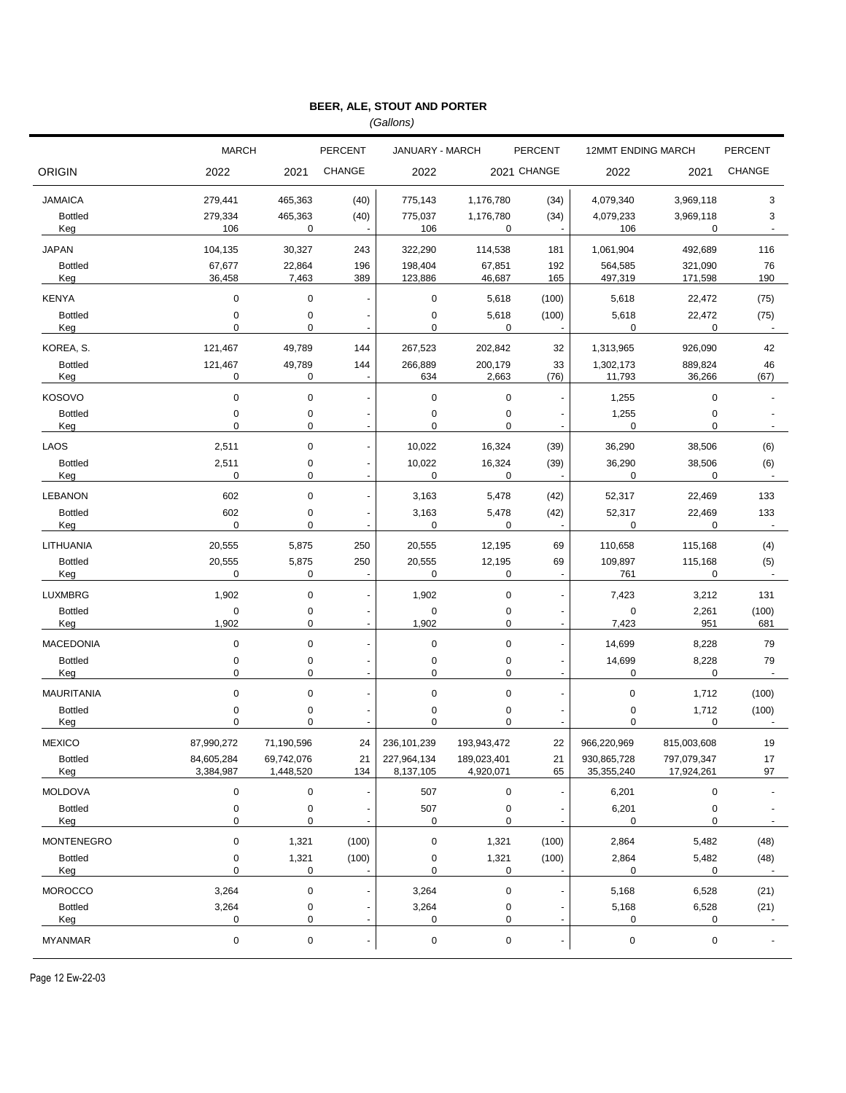*(Gallons)*

|                       | <b>MARCH</b>             |                         | <b>PERCENT</b>                 | JANUARY - MARCH          |                          | <b>PERCENT</b>                 | <b>12MMT ENDING MARCH</b> |                           | <b>PERCENT</b>         |
|-----------------------|--------------------------|-------------------------|--------------------------------|--------------------------|--------------------------|--------------------------------|---------------------------|---------------------------|------------------------|
| <b>ORIGIN</b>         | 2022                     | 2021                    | <b>CHANGE</b>                  | 2022                     |                          | 2021 CHANGE                    | 2022                      | 2021                      | <b>CHANGE</b>          |
| <b>JAMAICA</b>        | 279,441                  | 465,363                 | (40)                           | 775,143                  | 1,176,780                | (34)                           | 4,079,340                 | 3,969,118                 | 3                      |
| <b>Bottled</b><br>Keg | 279,334<br>106           | 465,363<br>0            | (40)<br>$\sim$                 | 775,037<br>106           | 1,176,780<br>0           | (34)                           | 4,079,233<br>106          | 3,969,118<br>0            | 3<br>$\sim$            |
| <b>JAPAN</b>          | 104,135                  | 30,327                  | 243                            | 322,290                  | 114,538                  | 181                            | 1,061,904                 | 492,689                   | 116                    |
| <b>Bottled</b><br>Keg | 67,677<br>36,458         | 22,864<br>7,463         | 196<br>389                     | 198,404<br>123,886       | 67,851<br>46,687         | 192<br>165                     | 564,585<br>497,319        | 321,090<br>171,598        | 76<br>190              |
| <b>KENYA</b>          | $\mathbf 0$              | $\mathbf 0$             | ä,                             | 0                        | 5,618                    | (100)                          | 5,618                     | 22,472                    | (75)                   |
| <b>Bottled</b><br>Keg | $\pmb{0}$<br>$\mathbf 0$ | 0<br>0                  | Ĭ.<br>÷,                       | 0<br>0                   | 5,618<br>0               | (100)                          | 5,618<br>0                | 22,472<br>0               | (75)                   |
| KOREA, S.             | 121,467                  | 49,789                  | 144                            | 267,523                  | 202,842                  | 32                             | 1,313,965                 | 926,090                   | 42                     |
| <b>Bottled</b><br>Keg | 121,467<br>0             | 49,789<br>0             | 144<br>$\blacksquare$          | 266,889<br>634           | 200,179<br>2,663         | 33<br>(76)                     | 1,302,173<br>11,793       | 889,824<br>36,266         | 46<br>(67)             |
| <b>KOSOVO</b>         | $\pmb{0}$                | $\mathbf 0$             |                                | 0                        | $\mathbf 0$              | ÷,                             | 1,255                     | $\mathbf 0$               |                        |
| <b>Bottled</b><br>Keg | $\pmb{0}$<br>$\mathbf 0$ | 0<br>0                  | $\overline{a}$<br>ä,           | $\mathbf 0$<br>$\pmb{0}$ | 0<br>0                   |                                | 1,255<br>$\mathbf 0$      | $\pmb{0}$<br>0            |                        |
| LAOS                  | 2,511                    | 0                       | $\ddot{\phantom{0}}$           | 10,022                   | 16,324                   | (39)                           | 36,290                    | 38,506                    | (6)                    |
| <b>Bottled</b><br>Keg | 2,511<br>$\mathbf 0$     | 0<br>0                  | $\overline{\phantom{m}}$<br>÷, | 10,022<br>0              | 16,324<br>0              | (39)                           | 36,290<br>0               | 38,506<br>0               | (6)                    |
| <b>LEBANON</b>        | 602                      | 0                       | $\overline{a}$                 | 3,163                    | 5,478                    | (42)                           | 52,317                    | 22,469                    | 133                    |
| <b>Bottled</b><br>Keg | 602<br>$\mathbf 0$       | 0<br>0                  | $\overline{\phantom{m}}$<br>ä, | 3,163<br>0               | 5,478<br>0               | (42)                           | 52,317<br>0               | 22,469<br>0               | 133                    |
| LITHUANIA             | 20,555                   | 5,875                   | 250                            | 20,555                   | 12,195                   | 69                             | 110,658                   | 115,168                   | (4)                    |
| <b>Bottled</b><br>Keg | 20,555<br>$\mathbf 0$    | 5,875<br>0              | 250<br>$\blacksquare$          | 20,555<br>$\mathbf 0$    | 12,195<br>0              | 69<br>$\blacksquare$           | 109,897<br>761            | 115,168<br>0              | (5)                    |
| <b>LUXMBRG</b>        | 1,902                    | $\mathbf 0$             | $\overline{a}$                 | 1,902                    | $\pmb{0}$                | ÷,                             | 7,423                     | 3,212                     | 131                    |
| <b>Bottled</b><br>Keg | $\pmb{0}$<br>1,902       | 0<br>0                  | ł,<br>$\overline{a}$           | 0<br>1,902               | 0<br>0                   | $\overline{\phantom{a}}$<br>÷, | 0<br>7,423                | 2,261<br>951              | (100)<br>681           |
| <b>MACEDONIA</b>      | 0                        | 0                       | ÷,                             | 0                        | $\pmb{0}$                | $\blacksquare$                 | 14,699                    | 8,228                     | 79                     |
| <b>Bottled</b><br>Keg | 0<br>0                   | 0<br>0                  | L.                             | 0<br>0                   | 0<br>0                   | $\overline{\phantom{a}}$<br>ä, | 14,699<br>0               | 8,228<br>$\mathbf 0$      | 79                     |
| MAURITANIA            | $\pmb{0}$                | 0                       |                                | $\pmb{0}$                | $\pmb{0}$                | $\blacksquare$                 | 0                         | 1,712                     | (100)                  |
| <b>Bottled</b><br>Keg | 0<br>0                   | 0<br>0                  |                                | 0<br>0                   | 0<br>0                   |                                | 0<br>0                    | 1,712<br>$\mathbf 0$      | (100)                  |
| <b>MEXICO</b>         | 87,990,272               | 71,190,596              | 24                             | 236, 101, 239            | 193,943,472              | 22                             | 966,220,969               | 815,003,608               | 19                     |
| <b>Bottled</b><br>Keg | 84,605,284<br>3,384,987  | 69,742,076<br>1,448,520 | 21<br>134                      | 227,964,134<br>8,137,105 | 189,023,401<br>4,920,071 | 21<br>65                       | 930,865,728<br>35,355,240 | 797,079,347<br>17,924,261 | 17<br>97               |
| <b>MOLDOVA</b>        | $\pmb{0}$                | $\mathbf 0$             | ł,                             | 507                      | $\pmb{0}$                | $\blacksquare$                 | 6,201                     | $\pmb{0}$                 |                        |
| <b>Bottled</b><br>Keg | $\pmb{0}$<br>$\pmb{0}$   | $\pmb{0}$<br>0          | ä,                             | 507<br>0                 | $\pmb{0}$<br>0           | $\blacksquare$                 | 6,201<br>0                | $\pmb{0}$<br>$\mathbf 0$  |                        |
| <b>MONTENEGRO</b>     | $\pmb{0}$                | 1,321                   | (100)                          | 0                        | 1,321                    | (100)                          | 2,864                     | 5,482                     | (48)                   |
| <b>Bottled</b><br>Keg | $\pmb{0}$<br>$\pmb{0}$   | 1,321<br>0              | (100)<br>$\blacksquare$        | 0<br>0                   | 1,321<br>0               | (100)                          | 2,864<br>0                | 5,482<br>0                | (48)<br>$\sim$         |
| <b>MOROCCO</b>        | 3,264                    | $\pmb{0}$               |                                | 3,264                    | 0                        | $\overline{\phantom{a}}$       | 5,168                     | 6,528                     | (21)                   |
| <b>Bottled</b><br>Keg | 3,264<br>0               | 0<br>0                  | $\overline{\phantom{a}}$       | 3,264<br>0               | 0<br>0                   | $\overline{\phantom{a}}$       | 5,168<br>0                | 6,528<br>0                | (21)<br>$\blacksquare$ |
| <b>MYANMAR</b>        | $\pmb{0}$                | 0                       | ٠                              | 0                        | $\pmb{0}$                | $\overline{\phantom{a}}$       | $\pmb{0}$                 | $\pmb{0}$                 |                        |

Page 12 Ew-22-03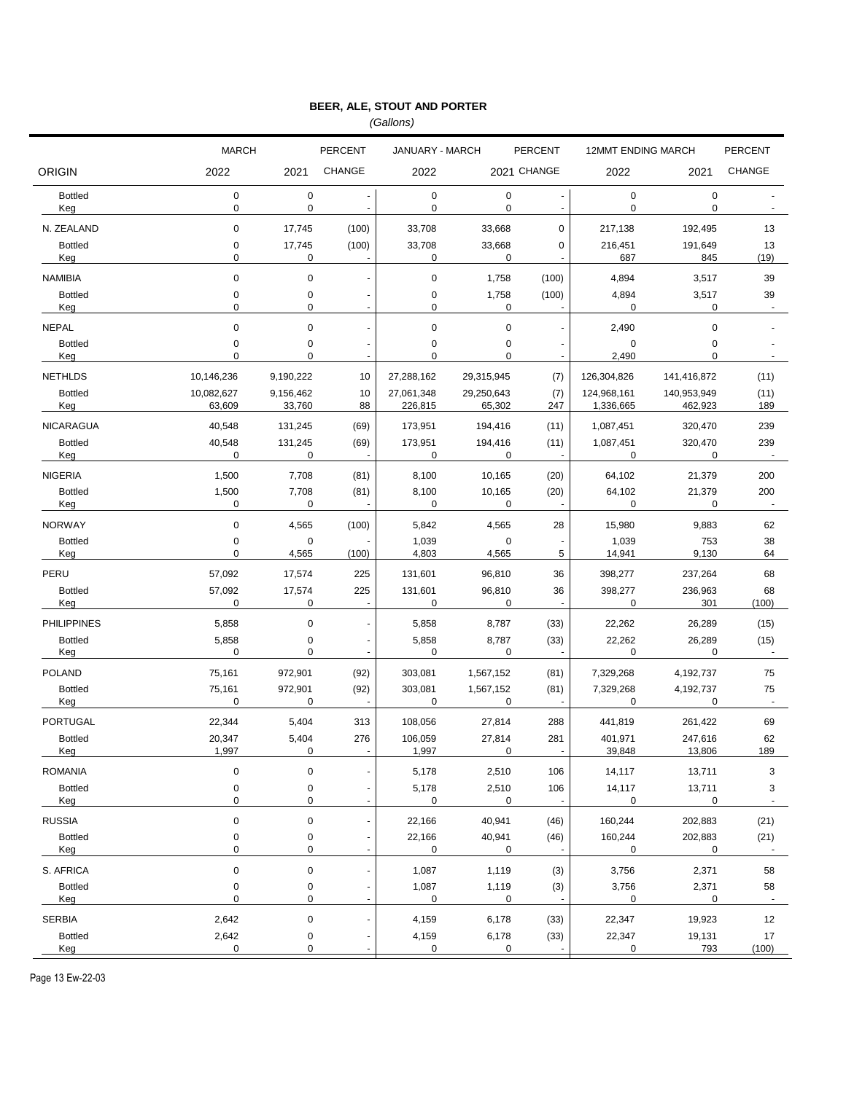*(Gallons)*

|                                | <b>MARCH</b>             |                      | PERCENT              | JANUARY - MARCH          |                        | <b>PERCENT</b>                    |                          | <b>12MMT ENDING MARCH</b> |                |
|--------------------------------|--------------------------|----------------------|----------------------|--------------------------|------------------------|-----------------------------------|--------------------------|---------------------------|----------------|
| <b>ORIGIN</b>                  | 2022                     | 2021                 | <b>CHANGE</b>        | 2022                     |                        | 2021 CHANGE                       | 2022                     | 2021                      | <b>CHANGE</b>  |
| <b>Bottled</b><br>Keg          | $\pmb{0}$<br>$\mathbf 0$ | $\mathbf 0$<br>0     | Ĭ.<br>$\blacksquare$ | $\pmb{0}$<br>0           | $\pmb{0}$<br>0         | $\overline{\phantom{a}}$          | $\pmb{0}$<br>$\mathbf 0$ | $\pmb{0}$<br>$\mathbf 0$  |                |
| N. ZEALAND                     | $\pmb{0}$                | 17,745               | (100)                | 33,708                   | 33,668                 | $\mathbf 0$                       | 217,138                  | 192,495                   | 13             |
| <b>Bottled</b>                 | $\pmb{0}$                | 17,745               | (100)                | 33,708                   | 33,668                 | 0                                 | 216,451                  | 191,649                   | 13             |
| Keg                            | 0                        | 0                    |                      | 0                        | 0                      | $\overline{\phantom{a}}$          | 687                      | 845                       | (19)           |
| <b>NAMIBIA</b>                 | $\mathbf 0$              | $\mathbf 0$          | $\blacksquare$       | 0                        | 1,758                  | (100)                             | 4,894                    | 3,517                     | 39             |
| <b>Bottled</b><br>Keg          | $\pmb{0}$<br>0           | 0<br>0               | ä,                   | $\mathbf 0$<br>0         | 1,758<br>0             | (100)                             | 4,894<br>0               | 3,517<br>0                | 39<br>$\sim$   |
|                                |                          |                      |                      |                          |                        |                                   |                          |                           |                |
| <b>NEPAL</b><br><b>Bottled</b> | $\pmb{0}$<br>0           | 0<br>0               | Ĭ.                   | $\pmb{0}$<br>$\mathbf 0$ | $\pmb{0}$<br>$\pmb{0}$ | $\overline{\phantom{a}}$          | 2,490<br>$\pmb{0}$       | $\mathbf 0$<br>0          |                |
| Keg                            | 0                        | 0                    | ä,                   | 0                        | $\mathbf 0$            | $\blacksquare$                    | 2,490                    | 0                         |                |
| <b>NETHLDS</b>                 | 10,146,236               | 9,190,222            | 10                   | 27,288,162               | 29,315,945             | (7)                               | 126,304,826              | 141,416,872               | (11)           |
| <b>Bottled</b>                 | 10,082,627               | 9,156,462            | 10                   | 27,061,348               | 29,250,643             | (7)                               | 124,968,161              | 140,953,949               | (11)           |
| Keg                            | 63,609                   | 33,760               | 88                   | 226,815                  | 65,302                 | 247                               | 1,336,665                | 462,923                   | 189            |
| <b>NICARAGUA</b>               | 40,548                   | 131,245              | (69)                 | 173,951                  | 194,416                | (11)                              | 1,087,451                | 320,470                   | 239            |
| <b>Bottled</b><br>Keg          | 40,548<br>0              | 131,245<br>0         | (69)                 | 173,951<br>0             | 194,416<br>0           | (11)                              | 1,087,451<br>0           | 320,470<br>0              | 239            |
| <b>NIGERIA</b>                 | 1,500                    | 7,708                | (81)                 | 8,100                    | 10,165                 | (20)                              | 64,102                   | 21,379                    | 200            |
| <b>Bottled</b>                 | 1,500                    | 7,708                | (81)                 | 8,100                    | 10,165                 | (20)                              | 64,102                   | 21,379                    | 200            |
| Keg                            | $\mathbf 0$              | 0                    |                      | $\mathbf 0$              | 0                      |                                   | $\mathbf 0$              | 0                         |                |
| <b>NORWAY</b>                  | $\mathbf 0$              | 4,565                | (100)                | 5,842                    | 4,565                  | 28                                | 15,980                   | 9,883                     | 62             |
| <b>Bottled</b><br>Keg          | $\pmb{0}$<br>$\mathbf 0$ | $\mathbf 0$<br>4,565 | (100)                | 1,039<br>4,803           | $\mathbf 0$<br>4,565   | $\qquad \qquad \blacksquare$<br>5 | 1,039<br>14,941          | 753<br>9,130              | 38<br>64       |
| PERU                           | 57,092                   | 17,574               | 225                  | 131,601                  | 96,810                 | 36                                | 398,277                  | 237,264                   | 68             |
| <b>Bottled</b>                 | 57,092                   | 17,574               | 225                  | 131,601                  | 96,810                 | 36                                | 398,277                  | 236,963                   | 68             |
| Keg                            | 0                        | 0                    |                      | 0                        | 0                      |                                   | 0                        | 301                       | (100)          |
| <b>PHILIPPINES</b>             | 5,858                    | 0                    | $\ddot{\phantom{0}}$ | 5,858                    | 8,787                  | (33)                              | 22,262                   | 26,289                    | (15)           |
| <b>Bottled</b>                 | 5,858                    | 0                    | $\overline{a}$       | 5,858                    | 8,787                  | (33)                              | 22,262                   | 26,289                    | (15)           |
| Keg                            | $\mathbf 0$              | 0                    |                      | 0                        | 0                      |                                   | 0                        | 0                         |                |
| <b>POLAND</b>                  | 75,161                   | 972,901              | (92)                 | 303,081                  | 1,567,152              | (81)                              | 7,329,268                | 4,192,737                 | 75             |
| <b>Bottled</b><br>Keg          | 75,161<br>$\mathbf 0$    | 972,901<br>0         | (92)                 | 303,081<br>0             | 1,567,152<br>0         | (81)                              | 7,329,268<br>0           | 4,192,737<br>0            | 75<br>÷,       |
| <b>PORTUGAL</b>                | 22,344                   | 5,404                | 313                  | 108,056                  | 27,814                 | 288                               | 441,819                  | 261,422                   | 69             |
| <b>Bottled</b>                 | 20,347                   | 5,404                | 276                  | 106,059                  | 27,814                 | 281                               | 401,971                  | 247,616                   | 62             |
| Keg                            | 1,997                    | 0                    |                      | 1,997                    | 0                      |                                   | <u>39,848</u>            | <u>13,806</u>             | 189            |
| <b>ROMANIA</b>                 | $\mathbf 0$              | 0                    |                      | 5,178                    | 2,510                  | 106                               | 14,117                   | 13,711                    | 3              |
| <b>Bottled</b>                 | $\pmb{0}$                | 0                    |                      | 5,178                    | 2,510                  | 106                               | 14,117                   | 13,711                    | 3              |
| Keg                            | 0                        | 0                    | ä,                   | 0                        | 0                      |                                   | 0                        | 0                         | $\omega$       |
| <b>RUSSIA</b>                  | $\pmb{0}$                | 0                    |                      | 22,166                   | 40,941                 | (46)                              | 160,244                  | 202,883                   | (21)           |
| <b>Bottled</b><br>Keg          | $\pmb{0}$<br>0           | 0<br>0               | $\blacksquare$       | 22,166<br>0              | 40,941<br>0            | (46)                              | 160,244<br>0             | 202,883<br>0              | (21)<br>$\sim$ |
| S. AFRICA                      | $\pmb{0}$                | 0                    | $\overline{a}$       | 1,087                    | 1,119                  | (3)                               | 3,756                    | 2,371                     | 58             |
| <b>Bottled</b>                 | $\pmb{0}$                | 0                    | $\frac{1}{2}$        | 1,087                    | 1,119                  | (3)                               | 3,756                    | 2,371                     | 58             |
| Keg                            | $\mathbf 0$              | 0                    | $\blacksquare$       | 0                        | 0                      |                                   | 0                        | 0                         | $\sim$         |
| <b>SERBIA</b>                  | 2,642                    | 0                    | $\overline{a}$       | 4,159                    | 6,178                  | (33)                              | 22,347                   | 19,923                    | 12             |
|                                |                          |                      |                      |                          |                        |                                   |                          |                           | 17<br>(100)    |
| <b>Bottled</b><br>Keg          | 2,642<br>0               | 0<br>0               |                      | 4,159<br>0               | 6,178<br>0             | (33)                              | 22,347<br>0              | 19,131<br>793             |                |

Page 13 Ew-22-03